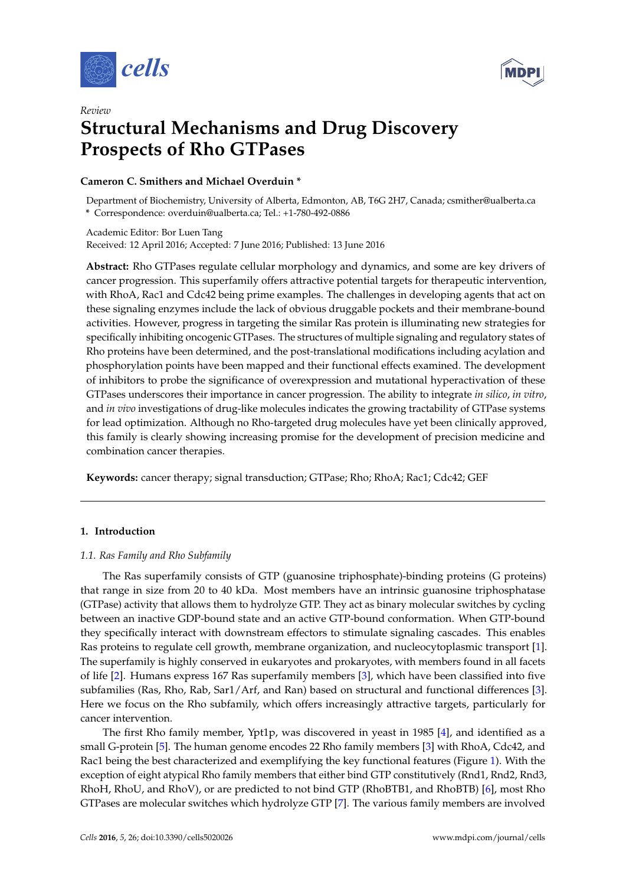



# *Review* **Structural Mechanisms and Drug Discovery Prospects of Rho GTPases**

# **Cameron C. Smithers and Michael Overduin \***

Department of Biochemistry, University of Alberta, Edmonton, AB, T6G 2H7, Canada; csmither@ualberta.ca **\*** Correspondence: overduin@ualberta.ca; Tel.: +1-780-492-0886

Academic Editor: Bor Luen Tang Received: 12 April 2016; Accepted: 7 June 2016; Published: 13 June 2016

**Abstract:** Rho GTPases regulate cellular morphology and dynamics, and some are key drivers of cancer progression. This superfamily offers attractive potential targets for therapeutic intervention, with RhoA, Rac1 and Cdc42 being prime examples. The challenges in developing agents that act on these signaling enzymes include the lack of obvious druggable pockets and their membrane-bound activities. However, progress in targeting the similar Ras protein is illuminating new strategies for specifically inhibiting oncogenic GTPases. The structures of multiple signaling and regulatory states of Rho proteins have been determined, and the post-translational modifications including acylation and phosphorylation points have been mapped and their functional effects examined. The development of inhibitors to probe the significance of overexpression and mutational hyperactivation of these GTPases underscores their importance in cancer progression. The ability to integrate *in silico*, *in vitro*, and *in vivo* investigations of drug-like molecules indicates the growing tractability of GTPase systems for lead optimization. Although no Rho-targeted drug molecules have yet been clinically approved, this family is clearly showing increasing promise for the development of precision medicine and combination cancer therapies.

**Keywords:** cancer therapy; signal transduction; GTPase; Rho; RhoA; Rac1; Cdc42; GEF

## **1. Introduction**

## *1.1. Ras Family and Rho Subfamily*

The Ras superfamily consists of GTP (guanosine triphosphate)-binding proteins (G proteins) that range in size from 20 to 40 kDa. Most members have an intrinsic guanosine triphosphatase (GTPase) activity that allows them to hydrolyze GTP. They act as binary molecular switches by cycling between an inactive GDP-bound state and an active GTP-bound conformation. When GTP-bound they specifically interact with downstream effectors to stimulate signaling cascades. This enables Ras proteins to regulate cell growth, membrane organization, and nucleocytoplasmic transport [\[1\]](#page-8-0). The superfamily is highly conserved in eukaryotes and prokaryotes, with members found in all facets of life [\[2\]](#page-8-1). Humans express 167 Ras superfamily members [\[3\]](#page-8-2), which have been classified into five subfamilies (Ras, Rho, Rab, Sar1/Arf, and Ran) based on structural and functional differences [\[3\]](#page-8-2). Here we focus on the Rho subfamily, which offers increasingly attractive targets, particularly for cancer intervention.

The first Rho family member, Ypt1p, was discovered in yeast in 1985 [\[4\]](#page-8-3), and identified as a small G-protein [\[5\]](#page-9-0). The human genome encodes 22 Rho family members [\[3\]](#page-8-2) with RhoA, Cdc42, and Rac1 being the best characterized and exemplifying the key functional features (Figure [1\)](#page-1-0). With the exception of eight atypical Rho family members that either bind GTP constitutively (Rnd1, Rnd2, Rnd3, RhoH, RhoU, and RhoV), or are predicted to not bind GTP (RhoBTB1, and RhoBTB) [\[6\]](#page-9-1), most Rho GTPases are molecular switches which hydrolyze GTP [\[7\]](#page-9-2). The various family members are involved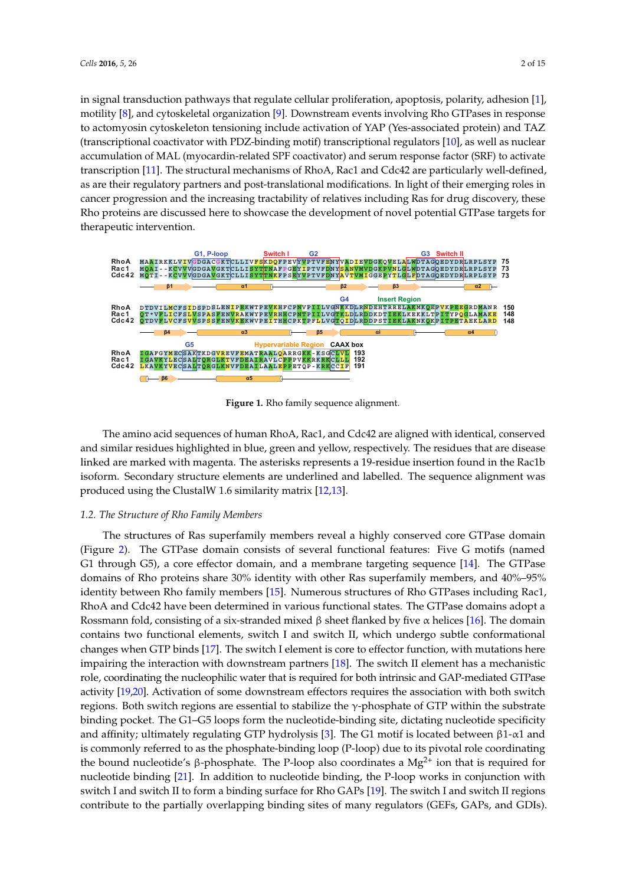in signal transduction pathways that regulate cellular proliferation, apoptosis, polarity, adhesion [\[1\]](#page-8-0), motility [\[8\]](#page-9-3), and cytoskeletal organization [\[9\]](#page-9-4). Downstream events involving Rho GTPases in response to actomyosin cytoskeleton tensioning include activation of YAP (Yes-associated protein) and TAZ (transcriptional coactivator with PDZ-binding motif) transcriptional regulators [\[10\]](#page-9-5), as well as nuclear accumulation of MAL (myocardin-related SPF coactivator) and serum response factor (SRF) to activate transcription [\[11\]](#page-9-6). The structural mechanisms of RhoA, Rac1 and Cdc42 are particularly well-defined, as are their regulatory partners and post-translational modifications. In light of their emerging roles in cancer progression and the increasing tractability of relatives including Ras for drug discovery, these Rho proteins are discussed here to showcase the development of novel potential GTPase targets for therapeutic intervention. regulators  $\frac{1}{2}$ , as  $\frac{1}{2}$ , as  $\frac{1}{2}$ , as  $\frac{1}{2}$ , as  $\frac{1}{2}$ ,  $\frac{1}{2}$ ,  $\frac{1}{2}$ ,  $\frac{1}{2}$ ,  $\frac{1}{2}$ ,  $\frac{1}{2}$ ,  $\frac{1}{2}$ ,  $\frac{1}{2}$ ,  $\frac{1}{2}$ ,  $\frac{1}{2}$ ,  $\frac{1}{2}$ ,  $\frac{1}{2}$ ,  $\frac{1}{2}$ ,  $\frac{1}{2}$ ,

<span id="page-1-0"></span>

**Figure 1.** Rho family sequence alignment. **Figure 1.** Rho family sequence alignment.

The amino acid sequences of human RhoA, Rac1, and Cdc42 are aligned with identical, The amino acid sequences of human RhoA, Rac1, and Cdc42 are aligned with identical, conserved and similar residues highlighted in blue, green and yellow, respectively. The residues that are disease linked are marked with magenta. The asterisks represents a 19-residue insertion found in the Rac1b isoform. Secondary structure elements are underlined and labelled. The sequence alignment was produced using the ClustalW 1.6 similarity matrix [\[12](#page-9-7)[,13\]](#page-9-8).

# 1.2. *The Structure of Rho Family Members*  $\overline{\phantom{a}}$

The structures of Ras superfamily members reveal a highly conserved core GTPase domain (Figure [2\)](#page-2-0). The GTPase domain consists of several functional features: Five G motifs (named G1 through G5), a core effector domain, and a membrane targeting sequence [\[14\]](#page-9-9). The GTPase domains of Rho proteins share 30% identity with other Ras superfamily members, and 40%–95% identity between Rho family members [\[15\]](#page-9-10). Numerous structures of Rho GTPases including Rac1, fold, consistent and mixed mixed group. The domain contains flat a six-stranded by five a helices included by five a helices flat and the domain contains of RhoA and Cdc42 have been determined in various functional states. The GTPase domains adopt a<br>-Rossmann fold, consisting of a six-stranded mixed β sheet flanked by five α helices [\[16\]](#page-9-11). The domain contains two functional elements, switch I and switch II, which undergo subtle conformational changes when GTP binds [\[17\]](#page-9-12). The switch I element is core to effector function, with mutations here impairing the interaction with downstream partners [\[18\]](#page-9-13). The switch II element has a mechanistic role, coordinating the nucleophilic water that is required for both intrinsic and GAP-mediated GTPase activity [\[19](#page-9-14)[,20\]](#page-9-15). Activation of some downstream effectors requires the association with both switch regions. Both switch regions are essential to stabilize the γ-phosphate of GTP within the substrate binding pocket. The G1-G5 loops form the nucleotide-binding site, dictating nucleotide specificity and affinity; ultimately regulating GTP hydrolysis [\[3\]](#page-8-2). The G1 motif is located between β1-α1 and is commonly referred to as the phosphate-binding loop (P-loop) due to its pivotal role coordinating  $\frac{1}{\sqrt{1-\frac{1}{\sqrt{1-\frac{1}{\sqrt{1-\frac{1}{\sqrt{1-\frac{1}{\sqrt{1-\frac{1}{\sqrt{1-\frac{1}{\sqrt{1-\frac{1}{\sqrt{1-\frac{1}{\sqrt{1-\frac{1}{\sqrt{1-\frac{1}{\sqrt{1-\frac{1}{\sqrt{1-\frac{1}{\sqrt{1-\frac{1}{\sqrt{1-\frac{1}{\sqrt{1-\frac{1}{\sqrt{1-\frac{1}{\sqrt{1-\frac{1}{\sqrt{1-\frac{1}{\sqrt{1-\frac{1}{\sqrt{1-\frac{1}{\sqrt{1-\frac{1}{\sqrt{1-\frac{1}{\sqrt{1-\frac{1}{\sqrt{1-\frac{1$ the bound nucleotide's β-phosphate. The P-loop also coordinates a  $Mg^{2+}$  ion that is required for nucleotide binding [\[21\]](#page-9-16). In addition to nucleotide binding, the P-loop works in conjunction with switch I and switch II to form a binding surface for Rho GAPs [\[19\]](#page-9-14). The switch I and switch II regions contribute to the partially overlapping binding sites of many regulators (GEFs, GAPs, and GDIs).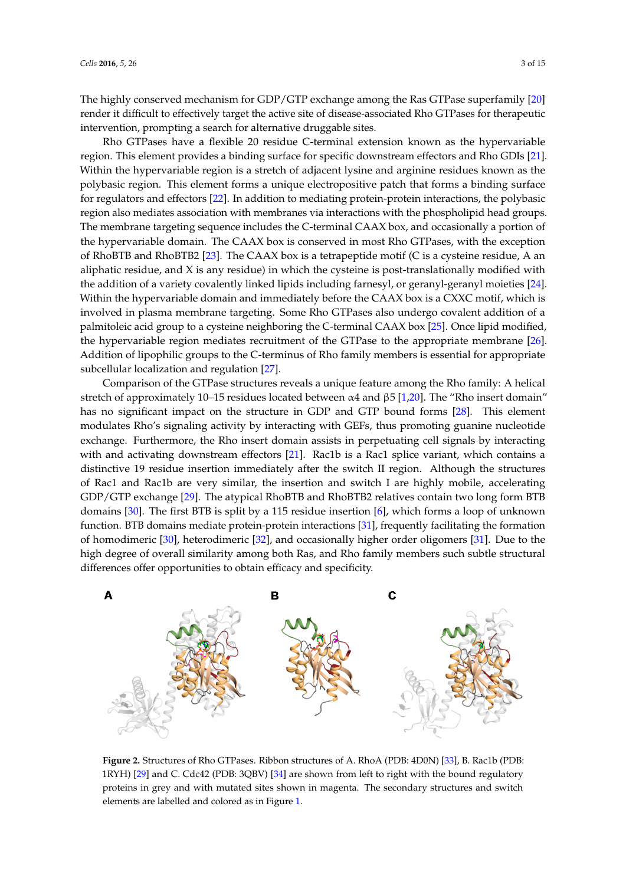The highly conserved mechanism for GDP/GTP exchange among the Ras GTPase superfamily [\[20\]](#page-9-15) render it difficult to effectively target the active site of disease-associated Rho GTPases for therapeutic intervention, prompting a search for alternative druggable sites.

Rho GTPases have a flexible 20 residue C-terminal extension known as the hypervariable region. This element provides a binding surface for specific downstream effectors and Rho GDIs [\[21\]](#page-9-16).<br>Which is the hypervariable regions in the hypervariable region. Within the hypervariable region is a stretch of adjacent lysine and arginine residues known as the This element provides a binding surface for specific downstream effectors and Rho GDIs [21]. Within polybasic region. This element forms a unique electropositive patch that forms a binding surface for regulators and effectors [\[22\]](#page-9-17). In addition to mediating protein-protein interactions, the polybasic  $\,$ region also mediates association with membranes via interactions with the phospholipid head groups. The membrane targeting sequence includes the C-terminal CAAX box, and occasionally a portion of the hypervariable domain. The CAAX box is conserved in most Rho GTPases, with the exception of RhoBTB and RhoBTB2 [\[23\]](#page-9-18). The CAAX box is a tetrapeptide motif (C is a cysteine residue, A an aliphatic residue, and X is any residue) in which the cysteine is post-translationally modified with the addition of a variety covalently linked lipids including farnesyl, or geranyl-geranyl moieties [\[24\]](#page-9-19). Within the hypervariable domain and immediately before the CAAX box is a CXXC motif, which is involved in plasma membrane targeting. Some Rho GTPases also undergo covalent addition of a palmitoleic acid group to a cysteine neighboring the C-terminal CAAX box [\[25\]](#page-9-20). Once lipid modified, the hypervariable region mediates recruitment of the GTPase to the appropriate membrane [\[26\]](#page-9-21). Addition of lipophilic groups to the C-terminus of Rho family members is essential for appropriate subcellular localization and regulation  $[27]$ .  $\frac{1}{2}$  intervention, prompting a search for alternative druggable sites.

Comparison of the GTPase structures reveals a unique feature among the Rho family: A helical stretch of approximately 10–15 residues located between α4 and β5 [\[1](#page-8-0)[,20\]](#page-9-15). The "Rho insert domain" Comparison of the GTPase structures reveals a unique feature among the Rho family: A helical of action of approximately 10–16 residues located between an and β5 [1,20]. The "Rho insert domain"<br>has no significant impact on the structure in GDP and GTP bound forms [\[28\]](#page-9-23). This element modulates Rho's signaling activity by interacting with GEFs, thus promoting guanine nucleotide exchange. Furthermore, the Rho insert domain assists in perpetuating cell signals by interacting with and activating downstream effectors [\[21\]](#page-9-16). Rac1b is a Rac1 splice variant, which contains a distinctive 19 residue insertion immediately after the switch II region. Although the structures of Rac1 and Rac1b are very similar, the insertion and switch I are highly mobile, accelerating GDP/GTP exchange [\[29\]](#page-10-0). The atypical RhoBTB and RhoBTB2 relatives contain two long form BTB domains [\[30\]](#page-10-1). The first BTB is split by a 115 residue insertion [\[6\]](#page-9-1), which forms a loop of unknown function. BTB domains mediate protein-protein interactions [\[31\]](#page-10-2), frequently facilitating the formation of homodimeric [30], heterodimeric [[32\],](#page-10-1) and occasionally [hig](#page-10-3)her order oligomers [31]. Due to the high degree of overall similarity among both Ras, and Rho family members such subtle structural differences offer opportunities to obtain efficacy and specificity. has no significant impact on the structure in GDP and GTP bound forms [28]. This element modulates

<span id="page-2-0"></span>

**Figure 2.** Structures of Rho GTPases. Ribbon structures of A. RhoA (PDB: 4D0N) [3[3\], B](#page-10-4). Rac1b (PDB: **Figure 2.** Structures of Rho GTPases. Ribbon structures of A. RhoA (PDB: 4D0N) [33], B. Rac1b (PDB: 1RY[H\) \[2](#page-10-0)9] and C. Cdc42 (PDB: 3QBV) [\[34\]](#page-10-5) are shown from left to right with the bound regulatory 1RYH) [29] and C. Cdc42 (PDB: 3QBV) [34] are shown from left to right with the bound regulatory proteins in grey and with mutated sites shown in magenta. The secondary structures and switch proteins in grey and with mutated sites shown in magenta. The secondary structures and switch elements are labelled and colored as in Figure 1. elements are labelled and colored as in Figure [1.](#page-1-0)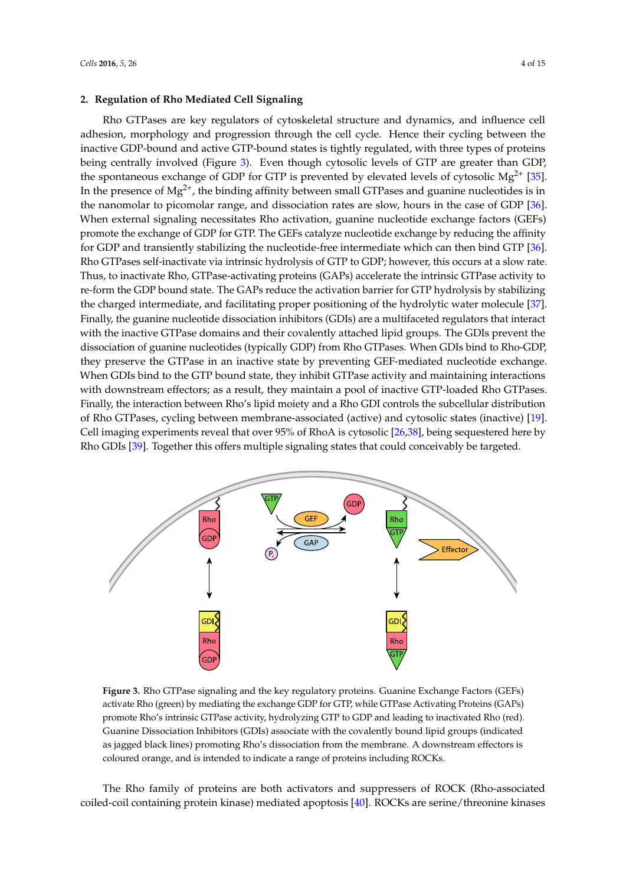#### **2. Regulation of Rho Mediated Cell Signaling**  $\mathcal{L}_{\mathcal{A}}$

Rho GTPases are key regulators of cytoskeletal structure and dynamics, and influence cell adhesion, morphology and progression through the cell cycle. Hence their cycling between the inactive GDP-bound and active GTP-bound states is tightly regulated, with three types of proteins being centrally involved (Figure [3\)](#page-3-0). Even though cytosolic levels of GTP are greater than GDP, the spontaneous exchange of GDP for GTP is prevented by elevated levels of cytosolic  $Mg^{2+}$  [\[35\]](#page-10-6). In the presence of  $Mg^{2+}$ , the binding affinity between small GTPases and guanine nucleotides is in the nanomolar to picomolar range, and dissociation rates are slow, hours in the case of GDP [\[36\]](#page-10-7). When external signaling necessitates Rho activation, guanine nucleotide exchange factors (GEFs) promote the exchange of GDP for GTP. The GEFs catalyze nucleotide exchange by reducing the affinity for GDP and transiently stabilizing the nucleotide-free intermediate which can then bind GTP  $[36]$ . Rho GTPases self-inactivate via intrinsic hydrolysis of GTP to GDP; however, this occurs at a slow rate. Thus, to inactivate Rho, GTPase-activating proteins (GAPs) accelerate the intrinsic GTPase activity to re-form the GDP bound state. The GAPs reduce the activation barrier for GTP hydrolysis by stabilizing the charged intermediate, and facilitating proper positioning of the hydrolytic water molecule [\[37\]](#page-10-8). Finally, the guanine nucleotide dissociation inhibitors (GDIs) are a multifaceted regulators that interact with the inactive GTPase domains and their covalently attached lipid groups. The GDIs prevent the dissociation of guanine nucleotides (typically GDP) from Rho GTPases. When GDIs bind to Rho-GDP, they preserve the GTPase in an inactive state by preventing GEF-mediated nucleotide exchange. When GDIs bind to the GTP bound state, they inhibit GTPase activity and maintaining interactions with downstream effectors; as a result, they maintain a pool of inactive GTP-loaded Rho GTPases. Finally, the interaction between Rho's lipid moiety and a Rho GDI controls the subcellular distribution of Rho GTPases, cycling between membrane-associated (active) and cytosolic states (inactive) [\[19\]](#page-9-14). Cell imaging experiments reveal that over 95% of RhoA is cytosolic [\[26,](#page-9-21)[38\]](#page-10-9), being sequestered here by Rho GDIs [\[39\]](#page-10-10). Together this offers multiple signaling states that could conceivably be targeted.

<span id="page-3-0"></span>

**Figure 3.** Rho GTPase signaling and the key regulatory proteins. Guanine Exchange Factors (GEFs) **Figure 3.** Rho GTPase signaling and the key regulatory proteins. Guanine Exchange Factors (GEFs) activate Rho (green) by mediating the exchange GDP for GTP, while GTPase Activating Proteins (GAPs) promote Rho's intrinsic GTPase activity, hydrolyzing GTP to GDP and leading to inactivated Rho (red). Guanine Dissociation Inhibitors (GDIs) associate with the covalently bound lipid groups (indicated as jagged black lines) promoting Rho's dissociation from the membrane. A downstream effectors is coloured orange, and is intended to indicate a range of proteins including ROCKs.

The Rho family of proteins are both activators and suppressers of ROCK (Rho-associated  $\text{coiled coil}$  containing protein kingse) mediated apoptosis  $\text{[40]}$ .  $\text{BOCKs}$  are sering/threonine kingses coiled-coil containing protein kinase) mediated apoptosis [\[40\]](#page-10-11). ROCKs are serine/threonine kinases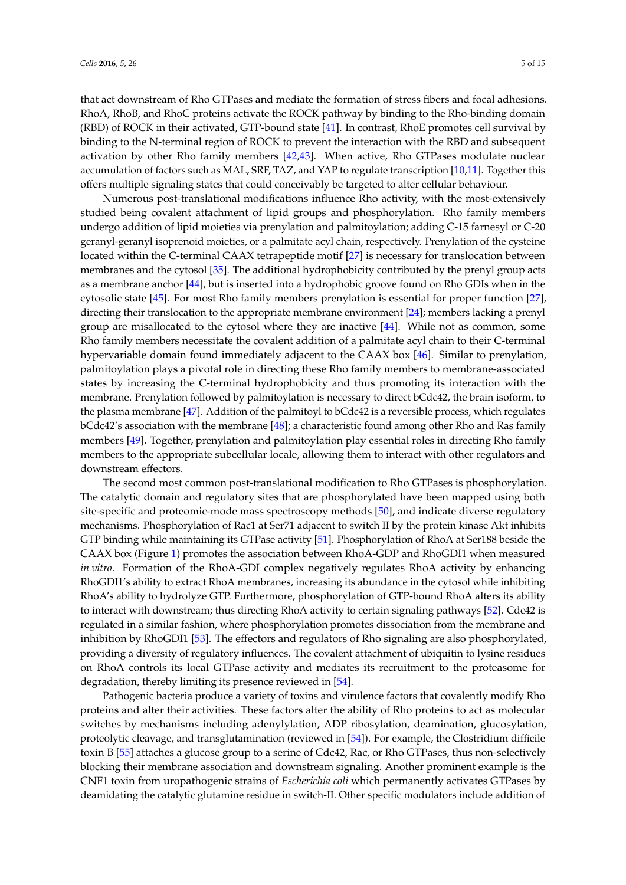that act downstream of Rho GTPases and mediate the formation of stress fibers and focal adhesions. RhoA, RhoB, and RhoC proteins activate the ROCK pathway by binding to the Rho-binding domain (RBD) of ROCK in their activated, GTP-bound state [\[41\]](#page-10-12). In contrast, RhoE promotes cell survival by binding to the N-terminal region of ROCK to prevent the interaction with the RBD and subsequent activation by other Rho family members [\[42,](#page-10-13)[43\]](#page-10-14). When active, Rho GTPases modulate nuclear accumulation of factors such as MAL, SRF, TAZ, and YAP to regulate transcription [\[10](#page-9-5)[,11\]](#page-9-6). Together this offers multiple signaling states that could conceivably be targeted to alter cellular behaviour.

Numerous post-translational modifications influence Rho activity, with the most-extensively studied being covalent attachment of lipid groups and phosphorylation. Rho family members undergo addition of lipid moieties via prenylation and palmitoylation; adding C-15 farnesyl or C-20 geranyl-geranyl isoprenoid moieties, or a palmitate acyl chain, respectively. Prenylation of the cysteine located within the C-terminal CAAX tetrapeptide motif [\[27\]](#page-9-22) is necessary for translocation between membranes and the cytosol [\[35\]](#page-10-6). The additional hydrophobicity contributed by the prenyl group acts as a membrane anchor [\[44\]](#page-10-15), but is inserted into a hydrophobic groove found on Rho GDIs when in the cytosolic state [\[45\]](#page-10-16). For most Rho family members prenylation is essential for proper function [\[27\]](#page-9-22), directing their translocation to the appropriate membrane environment [\[24\]](#page-9-19); members lacking a prenyl group are misallocated to the cytosol where they are inactive [\[44\]](#page-10-15). While not as common, some Rho family members necessitate the covalent addition of a palmitate acyl chain to their C-terminal hypervariable domain found immediately adjacent to the CAAX box [\[46\]](#page-10-17). Similar to prenylation, palmitoylation plays a pivotal role in directing these Rho family members to membrane-associated states by increasing the C-terminal hydrophobicity and thus promoting its interaction with the membrane. Prenylation followed by palmitoylation is necessary to direct bCdc42, the brain isoform, to the plasma membrane [\[47\]](#page-10-18). Addition of the palmitoyl to bCdc42 is a reversible process, which regulates bCdc42's association with the membrane [\[48\]](#page-10-19); a characteristic found among other Rho and Ras family members [\[49\]](#page-10-20). Together, prenylation and palmitoylation play essential roles in directing Rho family members to the appropriate subcellular locale, allowing them to interact with other regulators and downstream effectors.

The second most common post-translational modification to Rho GTPases is phosphorylation. The catalytic domain and regulatory sites that are phosphorylated have been mapped using both site-specific and proteomic-mode mass spectroscopy methods [\[50\]](#page-10-21), and indicate diverse regulatory mechanisms. Phosphorylation of Rac1 at Ser71 adjacent to switch II by the protein kinase Akt inhibits GTP binding while maintaining its GTPase activity [\[51\]](#page-10-22). Phosphorylation of RhoA at Ser188 beside the CAAX box (Figure [1\)](#page-1-0) promotes the association between RhoA-GDP and RhoGDI1 when measured *in vitro*. Formation of the RhoA-GDI complex negatively regulates RhoA activity by enhancing RhoGDI1's ability to extract RhoA membranes, increasing its abundance in the cytosol while inhibiting RhoA's ability to hydrolyze GTP. Furthermore, phosphorylation of GTP-bound RhoA alters its ability to interact with downstream; thus directing RhoA activity to certain signaling pathways [\[52\]](#page-11-0). Cdc42 is regulated in a similar fashion, where phosphorylation promotes dissociation from the membrane and inhibition by RhoGDI1 [\[53\]](#page-11-1). The effectors and regulators of Rho signaling are also phosphorylated, providing a diversity of regulatory influences. The covalent attachment of ubiquitin to lysine residues on RhoA controls its local GTPase activity and mediates its recruitment to the proteasome for degradation, thereby limiting its presence reviewed in [\[54\]](#page-11-2).

Pathogenic bacteria produce a variety of toxins and virulence factors that covalently modify Rho proteins and alter their activities. These factors alter the ability of Rho proteins to act as molecular switches by mechanisms including adenylylation, ADP ribosylation, deamination, glucosylation, proteolytic cleavage, and transglutamination (reviewed in [\[54\]](#page-11-2)). For example, the Clostridium difficile toxin B [\[55\]](#page-11-3) attaches a glucose group to a serine of Cdc42, Rac, or Rho GTPases, thus non-selectively blocking their membrane association and downstream signaling. Another prominent example is the CNF1 toxin from uropathogenic strains of *Escherichia coli* which permanently activates GTPases by deamidating the catalytic glutamine residue in switch-II. Other specific modulators include addition of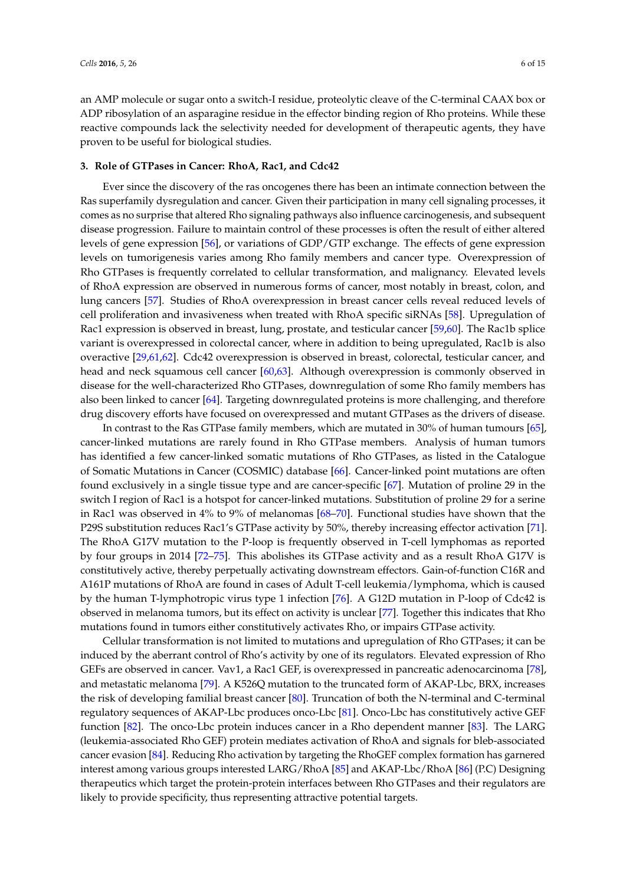an AMP molecule or sugar onto a switch-I residue, proteolytic cleave of the C-terminal CAAX box or ADP ribosylation of an asparagine residue in the effector binding region of Rho proteins. While these reactive compounds lack the selectivity needed for development of therapeutic agents, they have proven to be useful for biological studies.

#### **3. Role of GTPases in Cancer: RhoA, Rac1, and Cdc42**

Ever since the discovery of the ras oncogenes there has been an intimate connection between the Ras superfamily dysregulation and cancer. Given their participation in many cell signaling processes, it comes as no surprise that altered Rho signaling pathways also influence carcinogenesis, and subsequent disease progression. Failure to maintain control of these processes is often the result of either altered levels of gene expression [\[56\]](#page-11-4), or variations of GDP/GTP exchange. The effects of gene expression levels on tumorigenesis varies among Rho family members and cancer type. Overexpression of Rho GTPases is frequently correlated to cellular transformation, and malignancy. Elevated levels of RhoA expression are observed in numerous forms of cancer, most notably in breast, colon, and lung cancers [\[57\]](#page-11-5). Studies of RhoA overexpression in breast cancer cells reveal reduced levels of cell proliferation and invasiveness when treated with RhoA specific siRNAs [\[58\]](#page-11-6). Upregulation of Rac1 expression is observed in breast, lung, prostate, and testicular cancer [\[59,](#page-11-7)[60\]](#page-11-8). The Rac1b splice variant is overexpressed in colorectal cancer, where in addition to being upregulated, Rac1b is also overactive [\[29](#page-10-0)[,61](#page-11-9)[,62\]](#page-11-10). Cdc42 overexpression is observed in breast, colorectal, testicular cancer, and head and neck squamous cell cancer [\[60](#page-11-8)[,63\]](#page-11-11). Although overexpression is commonly observed in disease for the well-characterized Rho GTPases, downregulation of some Rho family members has also been linked to cancer [\[64\]](#page-11-12). Targeting downregulated proteins is more challenging, and therefore drug discovery efforts have focused on overexpressed and mutant GTPases as the drivers of disease.

In contrast to the Ras GTPase family members, which are mutated in 30% of human tumours [\[65\]](#page-11-13), cancer-linked mutations are rarely found in Rho GTPase members. Analysis of human tumors has identified a few cancer-linked somatic mutations of Rho GTPases, as listed in the Catalogue of Somatic Mutations in Cancer (COSMIC) database [\[66\]](#page-11-14). Cancer-linked point mutations are often found exclusively in a single tissue type and are cancer-specific [\[67\]](#page-11-15). Mutation of proline 29 in the switch I region of Rac1 is a hotspot for cancer-linked mutations. Substitution of proline 29 for a serine in Rac1 was observed in 4% to 9% of melanomas [\[68–](#page-11-16)[70\]](#page-11-17). Functional studies have shown that the P29S substitution reduces Rac1's GTPase activity by 50%, thereby increasing effector activation [\[71\]](#page-11-18). The RhoA G17V mutation to the P-loop is frequently observed in T-cell lymphomas as reported by four groups in 2014 [\[72](#page-12-0)[–75\]](#page-12-1). This abolishes its GTPase activity and as a result RhoA G17V is constitutively active, thereby perpetually activating downstream effectors. Gain-of-function C16R and A161P mutations of RhoA are found in cases of Adult T-cell leukemia/lymphoma, which is caused by the human T-lymphotropic virus type 1 infection [\[76\]](#page-12-2). A G12D mutation in P-loop of Cdc42 is observed in melanoma tumors, but its effect on activity is unclear [\[77\]](#page-12-3). Together this indicates that Rho mutations found in tumors either constitutively activates Rho, or impairs GTPase activity.

Cellular transformation is not limited to mutations and upregulation of Rho GTPases; it can be induced by the aberrant control of Rho's activity by one of its regulators. Elevated expression of Rho GEFs are observed in cancer. Vav1, a Rac1 GEF, is overexpressed in pancreatic adenocarcinoma [\[78\]](#page-12-4), and metastatic melanoma [\[79\]](#page-12-5). A K526Q mutation to the truncated form of AKAP-Lbc, BRX, increases the risk of developing familial breast cancer [\[80\]](#page-12-6). Truncation of both the N-terminal and C-terminal regulatory sequences of AKAP-Lbc produces onco-Lbc [\[81\]](#page-12-7). Onco-Lbc has constitutively active GEF function [\[82\]](#page-12-8). The onco-Lbc protein induces cancer in a Rho dependent manner [\[83\]](#page-12-9). The LARG (leukemia-associated Rho GEF) protein mediates activation of RhoA and signals for bleb-associated cancer evasion [\[84\]](#page-12-10). Reducing Rho activation by targeting the RhoGEF complex formation has garnered interest among various groups interested LARG/RhoA [\[85\]](#page-12-11) and AKAP-Lbc/RhoA [\[86\]](#page-12-12) (P.C) Designing therapeutics which target the protein-protein interfaces between Rho GTPases and their regulators are likely to provide specificity, thus representing attractive potential targets.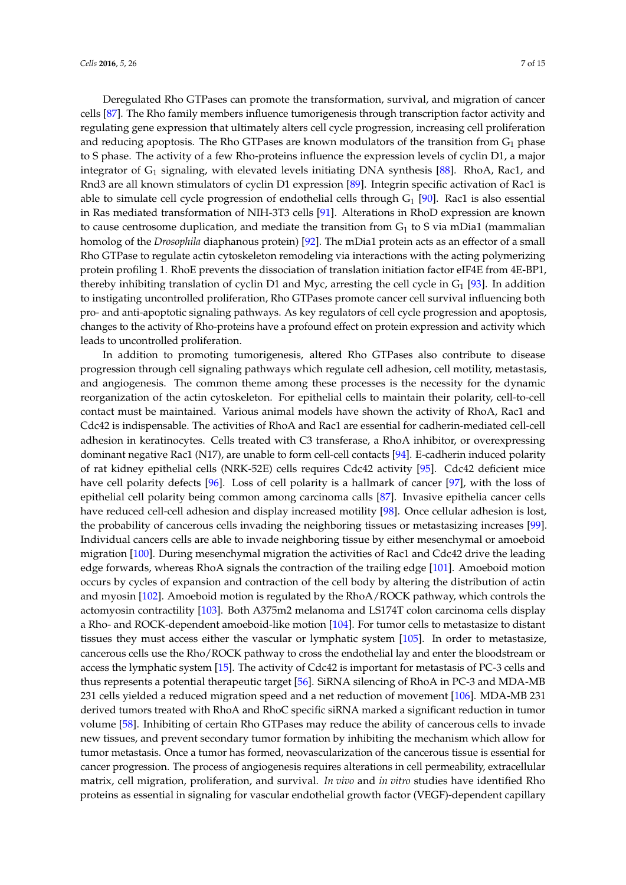Deregulated Rho GTPases can promote the transformation, survival, and migration of cancer cells [\[87\]](#page-12-13). The Rho family members influence tumorigenesis through transcription factor activity and regulating gene expression that ultimately alters cell cycle progression, increasing cell proliferation and reducing apoptosis. The Rho GTPases are known modulators of the transition from  $G_1$  phase to S phase. The activity of a few Rho-proteins influence the expression levels of cyclin D1, a major integrator of  $G_1$  signaling, with elevated levels initiating DNA synthesis [\[88\]](#page-12-14). RhoA, Rac1, and Rnd3 are all known stimulators of cyclin D1 expression [\[89\]](#page-12-15). Integrin specific activation of Rac1 is able to simulate cell cycle progression of endothelial cells through  $G_1$  [\[90\]](#page-13-0). Rac1 is also essential in Ras mediated transformation of NIH-3T3 cells [\[91\]](#page-13-1). Alterations in RhoD expression are known to cause centrosome duplication, and mediate the transition from  $G_1$  to S via mDia1 (mammalian homolog of the *Drosophila* diaphanous protein) [\[92\]](#page-13-2). The mDia1 protein acts as an effector of a small Rho GTPase to regulate actin cytoskeleton remodeling via interactions with the acting polymerizing protein profiling 1. RhoE prevents the dissociation of translation initiation factor eIF4E from 4E-BP1, thereby inhibiting translation of cyclin D1 and Myc, arresting the cell cycle in  $G_1$  [\[93\]](#page-13-3). In addition to instigating uncontrolled proliferation, Rho GTPases promote cancer cell survival influencing both pro- and anti-apoptotic signaling pathways. As key regulators of cell cycle progression and apoptosis, changes to the activity of Rho-proteins have a profound effect on protein expression and activity which leads to uncontrolled proliferation.

In addition to promoting tumorigenesis, altered Rho GTPases also contribute to disease progression through cell signaling pathways which regulate cell adhesion, cell motility, metastasis, and angiogenesis. The common theme among these processes is the necessity for the dynamic reorganization of the actin cytoskeleton. For epithelial cells to maintain their polarity, cell-to-cell contact must be maintained. Various animal models have shown the activity of RhoA, Rac1 and Cdc42 is indispensable. The activities of RhoA and Rac1 are essential for cadherin-mediated cell-cell adhesion in keratinocytes. Cells treated with C3 transferase, a RhoA inhibitor, or overexpressing dominant negative Rac1 (N17), are unable to form cell-cell contacts [\[94\]](#page-13-4). E-cadherin induced polarity of rat kidney epithelial cells (NRK-52E) cells requires Cdc42 activity [\[95\]](#page-13-5). Cdc42 deficient mice have cell polarity defects [\[96\]](#page-13-6). Loss of cell polarity is a hallmark of cancer [\[97\]](#page-13-7), with the loss of epithelial cell polarity being common among carcinoma calls [\[87\]](#page-12-13). Invasive epithelia cancer cells have reduced cell-cell adhesion and display increased motility [\[98\]](#page-13-8). Once cellular adhesion is lost, the probability of cancerous cells invading the neighboring tissues or metastasizing increases [\[99\]](#page-13-9). Individual cancers cells are able to invade neighboring tissue by either mesenchymal or amoeboid migration [\[100\]](#page-13-10). During mesenchymal migration the activities of Rac1 and Cdc42 drive the leading edge forwards, whereas RhoA signals the contraction of the trailing edge [\[101\]](#page-13-11). Amoeboid motion occurs by cycles of expansion and contraction of the cell body by altering the distribution of actin and myosin [\[102\]](#page-13-12). Amoeboid motion is regulated by the RhoA/ROCK pathway, which controls the actomyosin contractility [\[103\]](#page-13-13). Both A375m2 melanoma and LS174T colon carcinoma cells display a Rho- and ROCK-dependent amoeboid-like motion [\[104\]](#page-13-14). For tumor cells to metastasize to distant tissues they must access either the vascular or lymphatic system [\[105\]](#page-13-15). In order to metastasize, cancerous cells use the Rho/ROCK pathway to cross the endothelial lay and enter the bloodstream or access the lymphatic system [\[15\]](#page-9-10). The activity of Cdc42 is important for metastasis of PC-3 cells and thus represents a potential therapeutic target [\[56\]](#page-11-4). SiRNA silencing of RhoA in PC-3 and MDA-MB 231 cells yielded a reduced migration speed and a net reduction of movement [\[106\]](#page-13-16). MDA-MB 231 derived tumors treated with RhoA and RhoC specific siRNA marked a significant reduction in tumor volume [\[58\]](#page-11-6). Inhibiting of certain Rho GTPases may reduce the ability of cancerous cells to invade new tissues, and prevent secondary tumor formation by inhibiting the mechanism which allow for tumor metastasis. Once a tumor has formed, neovascularization of the cancerous tissue is essential for cancer progression. The process of angiogenesis requires alterations in cell permeability, extracellular matrix, cell migration, proliferation, and survival. *In vivo* and *in vitro* studies have identified Rho proteins as essential in signaling for vascular endothelial growth factor (VEGF)-dependent capillary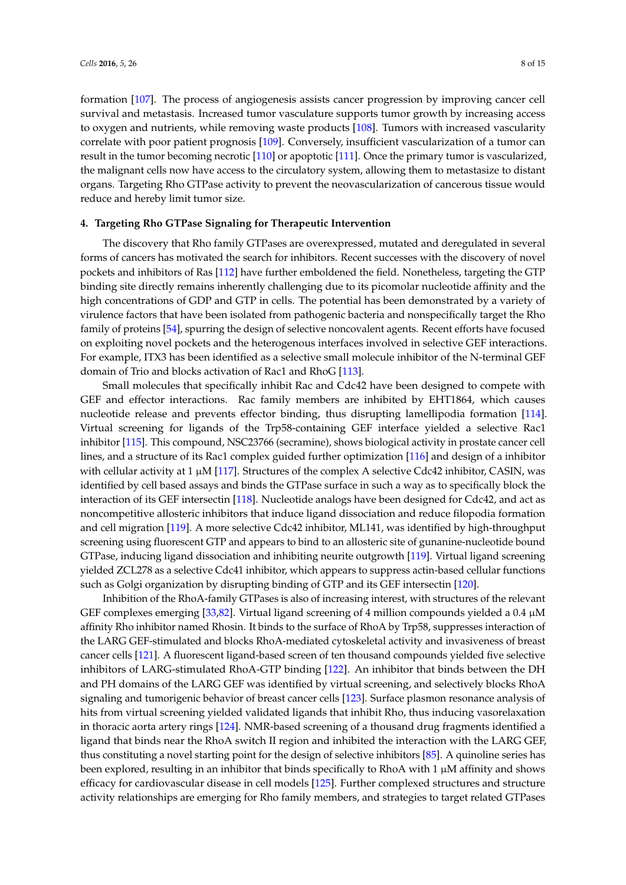formation [\[107\]](#page-13-17). The process of angiogenesis assists cancer progression by improving cancer cell survival and metastasis. Increased tumor vasculature supports tumor growth by increasing access to oxygen and nutrients, while removing waste products [\[108\]](#page-13-18). Tumors with increased vascularity correlate with poor patient prognosis [\[109\]](#page-13-19). Conversely, insufficient vascularization of a tumor can result in the tumor becoming necrotic [\[110\]](#page-13-20) or apoptotic [\[111\]](#page-13-21). Once the primary tumor is vascularized, the malignant cells now have access to the circulatory system, allowing them to metastasize to distant organs. Targeting Rho GTPase activity to prevent the neovascularization of cancerous tissue would reduce and hereby limit tumor size.

#### **4. Targeting Rho GTPase Signaling for Therapeutic Intervention**

The discovery that Rho family GTPases are overexpressed, mutated and deregulated in several forms of cancers has motivated the search for inhibitors. Recent successes with the discovery of novel pockets and inhibitors of Ras [\[112\]](#page-13-22) have further emboldened the field. Nonetheless, targeting the GTP binding site directly remains inherently challenging due to its picomolar nucleotide affinity and the high concentrations of GDP and GTP in cells. The potential has been demonstrated by a variety of virulence factors that have been isolated from pathogenic bacteria and nonspecifically target the Rho family of proteins [\[54\]](#page-11-2), spurring the design of selective noncovalent agents. Recent efforts have focused on exploiting novel pockets and the heterogenous interfaces involved in selective GEF interactions. For example, ITX3 has been identified as a selective small molecule inhibitor of the N-terminal GEF domain of Trio and blocks activation of Rac1 and RhoG [\[113\]](#page-14-0).

Small molecules that specifically inhibit Rac and Cdc42 have been designed to compete with GEF and effector interactions. Rac family members are inhibited by EHT1864, which causes nucleotide release and prevents effector binding, thus disrupting lamellipodia formation [\[114\]](#page-14-1). Virtual screening for ligands of the Trp58-containing GEF interface yielded a selective Rac1 inhibitor [\[115\]](#page-14-2). This compound, NSC23766 (secramine), shows biological activity in prostate cancer cell lines, and a structure of its Rac1 complex guided further optimization [\[116\]](#page-14-3) and design of a inhibitor with cellular activity at 1 µM [\[117\]](#page-14-4). Structures of the complex A selective Cdc42 inhibitor, CASIN, was identified by cell based assays and binds the GTPase surface in such a way as to specifically block the interaction of its GEF intersectin [\[118\]](#page-14-5). Nucleotide analogs have been designed for Cdc42, and act as noncompetitive allosteric inhibitors that induce ligand dissociation and reduce filopodia formation and cell migration [\[119\]](#page-14-6). A more selective Cdc42 inhibitor, ML141, was identified by high-throughput screening using fluorescent GTP and appears to bind to an allosteric site of gunanine-nucleotide bound GTPase, inducing ligand dissociation and inhibiting neurite outgrowth [\[119\]](#page-14-6). Virtual ligand screening yielded ZCL278 as a selective Cdc41 inhibitor, which appears to suppress actin-based cellular functions such as Golgi organization by disrupting binding of GTP and its GEF intersectin [\[120\]](#page-14-7).

Inhibition of the RhoA-family GTPases is also of increasing interest, with structures of the relevant GEF complexes emerging [\[33](#page-10-4)[,82\]](#page-12-8). Virtual ligand screening of 4 million compounds yielded a 0.4  $\mu$ M affinity Rho inhibitor named Rhosin. It binds to the surface of RhoA by Trp58, suppresses interaction of the LARG GEF-stimulated and blocks RhoA-mediated cytoskeletal activity and invasiveness of breast cancer cells [\[121\]](#page-14-8). A fluorescent ligand-based screen of ten thousand compounds yielded five selective inhibitors of LARG-stimulated RhoA-GTP binding [\[122\]](#page-14-9). An inhibitor that binds between the DH and PH domains of the LARG GEF was identified by virtual screening, and selectively blocks RhoA signaling and tumorigenic behavior of breast cancer cells [\[123\]](#page-14-10). Surface plasmon resonance analysis of hits from virtual screening yielded validated ligands that inhibit Rho, thus inducing vasorelaxation in thoracic aorta artery rings [\[124\]](#page-14-11). NMR-based screening of a thousand drug fragments identified a ligand that binds near the RhoA switch II region and inhibited the interaction with the LARG GEF, thus constituting a novel starting point for the design of selective inhibitors [\[85\]](#page-12-11). A quinoline series has been explored, resulting in an inhibitor that binds specifically to RhoA with  $1 \mu$ M affinity and shows efficacy for cardiovascular disease in cell models [\[125\]](#page-14-12). Further complexed structures and structure activity relationships are emerging for Rho family members, and strategies to target related GTPases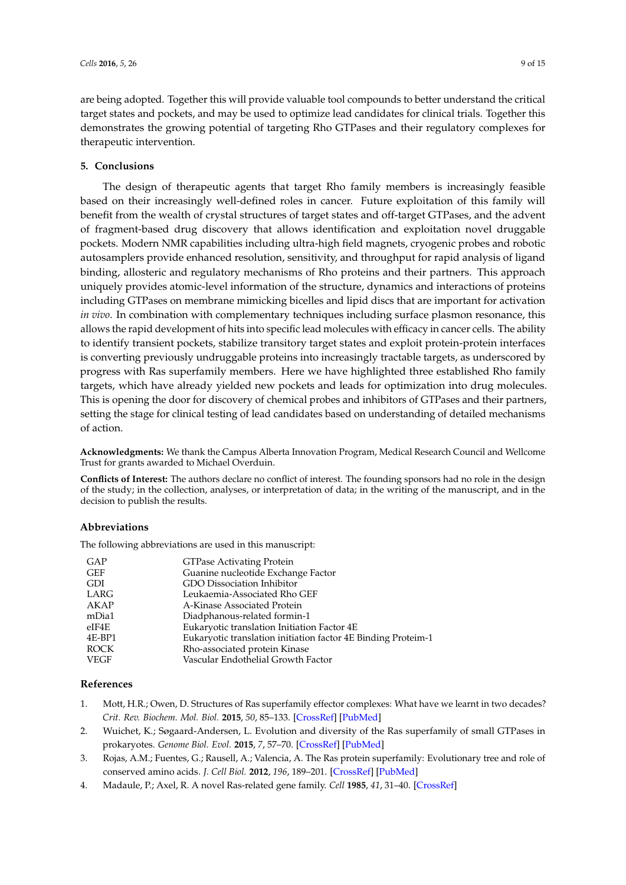are being adopted. Together this will provide valuable tool compounds to better understand the critical target states and pockets, and may be used to optimize lead candidates for clinical trials. Together this demonstrates the growing potential of targeting Rho GTPases and their regulatory complexes for therapeutic intervention.

#### **5. Conclusions**

The design of therapeutic agents that target Rho family members is increasingly feasible based on their increasingly well-defined roles in cancer. Future exploitation of this family will benefit from the wealth of crystal structures of target states and off-target GTPases, and the advent of fragment-based drug discovery that allows identification and exploitation novel druggable pockets. Modern NMR capabilities including ultra-high field magnets, cryogenic probes and robotic autosamplers provide enhanced resolution, sensitivity, and throughput for rapid analysis of ligand binding, allosteric and regulatory mechanisms of Rho proteins and their partners. This approach uniquely provides atomic-level information of the structure, dynamics and interactions of proteins including GTPases on membrane mimicking bicelles and lipid discs that are important for activation *in vivo*. In combination with complementary techniques including surface plasmon resonance, this allows the rapid development of hits into specific lead molecules with efficacy in cancer cells. The ability to identify transient pockets, stabilize transitory target states and exploit protein-protein interfaces is converting previously undruggable proteins into increasingly tractable targets, as underscored by progress with Ras superfamily members. Here we have highlighted three established Rho family targets, which have already yielded new pockets and leads for optimization into drug molecules. This is opening the door for discovery of chemical probes and inhibitors of GTPases and their partners, setting the stage for clinical testing of lead candidates based on understanding of detailed mechanisms of action.

**Acknowledgments:** We thank the Campus Alberta Innovation Program, Medical Research Council and Wellcome Trust for grants awarded to Michael Overduin.

**Conflicts of Interest:** The authors declare no conflict of interest. The founding sponsors had no role in the design of the study; in the collection, analyses, or interpretation of data; in the writing of the manuscript, and in the decision to publish the results.

#### **Abbreviations**

The following abbreviations are used in this manuscript:

| GAP         | <b>GTPase Activating Protein</b>                              |
|-------------|---------------------------------------------------------------|
| <b>GEF</b>  | Guanine nucleotide Exchange Factor                            |
| GDI         | GDO Dissociation Inhibitor                                    |
| LARG        | Leukaemia-Associated Rho GEF                                  |
| AKAP        | A-Kinase Associated Protein                                   |
| mDia1       | Diadphanous-related formin-1                                  |
| eIF4E       | Eukaryotic translation Initiation Factor 4E                   |
| 4E-BP1      | Eukaryotic translation initiation factor 4E Binding Proteim-1 |
| <b>ROCK</b> | Rho-associated protein Kinase                                 |
| <b>VEGF</b> | Vascular Endothelial Growth Factor                            |
|             |                                                               |

#### **References**

- <span id="page-8-0"></span>1. Mott, H.R.; Owen, D. Structures of Ras superfamily effector complexes: What have we learnt in two decades? *Crit. Rev. Biochem. Mol. Biol.* **2015**, *50*, 85–133. [\[CrossRef\]](http://dx.doi.org/10.3109/10409238.2014.999191) [\[PubMed\]](http://www.ncbi.nlm.nih.gov/pubmed/25830673)
- <span id="page-8-1"></span>2. Wuichet, K.; Søgaard-Andersen, L. Evolution and diversity of the Ras superfamily of small GTPases in prokaryotes. *Genome Biol. Evol.* **2015**, *7*, 57–70. [\[CrossRef\]](http://dx.doi.org/10.1093/gbe/evu264) [\[PubMed\]](http://www.ncbi.nlm.nih.gov/pubmed/25480683)
- <span id="page-8-2"></span>3. Rojas, A.M.; Fuentes, G.; Rausell, A.; Valencia, A. The Ras protein superfamily: Evolutionary tree and role of conserved amino acids. *J. Cell Biol.* **2012**, *196*, 189–201. [\[CrossRef\]](http://dx.doi.org/10.1083/jcb.201103008) [\[PubMed\]](http://www.ncbi.nlm.nih.gov/pubmed/22270915)
- <span id="page-8-3"></span>4. Madaule, P.; Axel, R. A novel Ras-related gene family. *Cell* **1985**, *41*, 31–40. [\[CrossRef\]](http://dx.doi.org/10.1016/0092-8674(85)90058-3)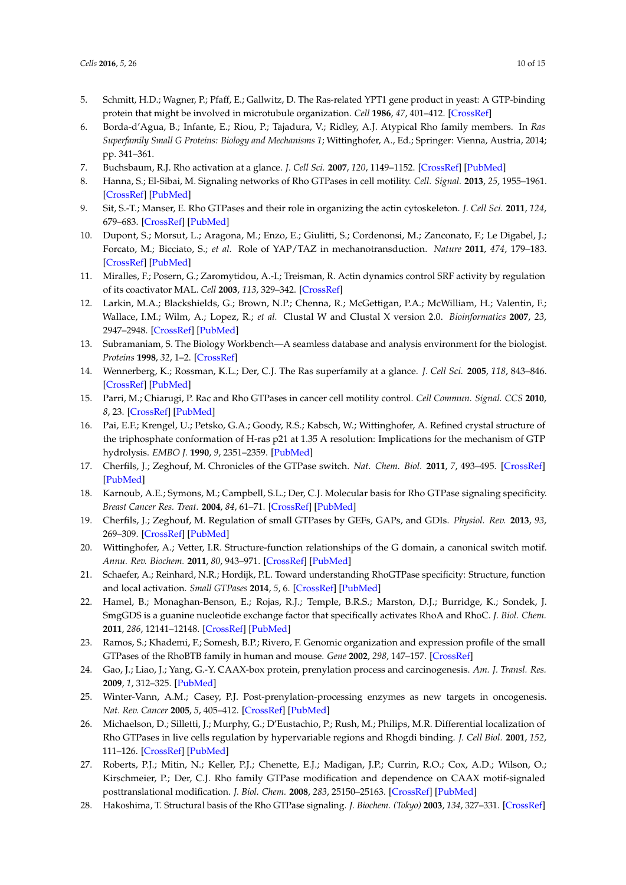- <span id="page-9-0"></span>5. Schmitt, H.D.; Wagner, P.; Pfaff, E.; Gallwitz, D. The Ras-related YPT1 gene product in yeast: A GTP-binding protein that might be involved in microtubule organization. *Cell* **1986**, *47*, 401–412. [\[CrossRef\]](http://dx.doi.org/10.1016/0092-8674(86)90597-0)
- <span id="page-9-1"></span>6. Borda-d'Agua, B.; Infante, E.; Riou, P.; Tajadura, V.; Ridley, A.J. Atypical Rho family members. In *Ras Superfamily Small G Proteins: Biology and Mechanisms 1*; Wittinghofer, A., Ed.; Springer: Vienna, Austria, 2014; pp. 341–361.
- <span id="page-9-2"></span>7. Buchsbaum, R.J. Rho activation at a glance. *J. Cell Sci.* **2007**, *120*, 1149–1152. [\[CrossRef\]](http://dx.doi.org/10.1242/jcs.03428) [\[PubMed\]](http://www.ncbi.nlm.nih.gov/pubmed/17376960)
- <span id="page-9-3"></span>8. Hanna, S.; El-Sibai, M. Signaling networks of Rho GTPases in cell motility. *Cell. Signal.* **2013**, *25*, 1955–1961. [\[CrossRef\]](http://dx.doi.org/10.1016/j.cellsig.2013.04.009) [\[PubMed\]](http://www.ncbi.nlm.nih.gov/pubmed/23669310)
- <span id="page-9-4"></span>9. Sit, S.-T.; Manser, E. Rho GTPases and their role in organizing the actin cytoskeleton. *J. Cell Sci.* **2011**, *124*, 679–683. [\[CrossRef\]](http://dx.doi.org/10.1242/jcs.064964) [\[PubMed\]](http://www.ncbi.nlm.nih.gov/pubmed/21321325)
- <span id="page-9-5"></span>10. Dupont, S.; Morsut, L.; Aragona, M.; Enzo, E.; Giulitti, S.; Cordenonsi, M.; Zanconato, F.; Le Digabel, J.; Forcato, M.; Bicciato, S.; *et al.* Role of YAP/TAZ in mechanotransduction. *Nature* **2011**, *474*, 179–183. [\[CrossRef\]](http://dx.doi.org/10.1038/nature10137) [\[PubMed\]](http://www.ncbi.nlm.nih.gov/pubmed/21654799)
- <span id="page-9-6"></span>11. Miralles, F.; Posern, G.; Zaromytidou, A.-I.; Treisman, R. Actin dynamics control SRF activity by regulation of its coactivator MAL. *Cell* **2003**, *113*, 329–342. [\[CrossRef\]](http://dx.doi.org/10.1016/S0092-8674(03)00278-2)
- <span id="page-9-7"></span>12. Larkin, M.A.; Blackshields, G.; Brown, N.P.; Chenna, R.; McGettigan, P.A.; McWilliam, H.; Valentin, F.; Wallace, I.M.; Wilm, A.; Lopez, R.; *et al.* Clustal W and Clustal X version 2.0. *Bioinformatics* **2007**, *23*, 2947–2948. [\[CrossRef\]](http://dx.doi.org/10.1093/bioinformatics/btm404) [\[PubMed\]](http://www.ncbi.nlm.nih.gov/pubmed/17846036)
- <span id="page-9-8"></span>13. Subramaniam, S. The Biology Workbench—A seamless database and analysis environment for the biologist. *Proteins* **1998**, *32*, 1–2. [\[CrossRef\]](http://dx.doi.org/10.1002/(SICI)1097-0134(19980701)32:1<1::AID-PROT1>3.0.CO;2-Q)
- <span id="page-9-9"></span>14. Wennerberg, K.; Rossman, K.L.; Der, C.J. The Ras superfamily at a glance. *J. Cell Sci.* **2005**, *118*, 843–846. [\[CrossRef\]](http://dx.doi.org/10.1242/jcs.01660) [\[PubMed\]](http://www.ncbi.nlm.nih.gov/pubmed/15731001)
- <span id="page-9-10"></span>15. Parri, M.; Chiarugi, P. Rac and Rho GTPases in cancer cell motility control. *Cell Commun. Signal. CCS* **2010**, *8*, 23. [\[CrossRef\]](http://dx.doi.org/10.1186/1478-811X-8-23) [\[PubMed\]](http://www.ncbi.nlm.nih.gov/pubmed/20822528)
- <span id="page-9-11"></span>16. Pai, E.F.; Krengel, U.; Petsko, G.A.; Goody, R.S.; Kabsch, W.; Wittinghofer, A. Refined crystal structure of the triphosphate conformation of H-ras p21 at 1.35 A resolution: Implications for the mechanism of GTP hydrolysis. *EMBO J.* **1990**, *9*, 2351–2359. [\[PubMed\]](http://www.ncbi.nlm.nih.gov/pubmed/2196171)
- <span id="page-9-12"></span>17. Cherfils, J.; Zeghouf, M. Chronicles of the GTPase switch. *Nat. Chem. Biol.* **2011**, *7*, 493–495. [\[CrossRef\]](http://dx.doi.org/10.1038/nchembio.608) [\[PubMed\]](http://www.ncbi.nlm.nih.gov/pubmed/21769091)
- <span id="page-9-13"></span>18. Karnoub, A.E.; Symons, M.; Campbell, S.L.; Der, C.J. Molecular basis for Rho GTPase signaling specificity. *Breast Cancer Res. Treat.* **2004**, *84*, 61–71. [\[CrossRef\]](http://dx.doi.org/10.1023/B:BREA.0000018427.84929.5c) [\[PubMed\]](http://www.ncbi.nlm.nih.gov/pubmed/14999155)
- <span id="page-9-14"></span>19. Cherfils, J.; Zeghouf, M. Regulation of small GTPases by GEFs, GAPs, and GDIs. *Physiol. Rev.* **2013**, *93*, 269–309. [\[CrossRef\]](http://dx.doi.org/10.1152/physrev.00003.2012) [\[PubMed\]](http://www.ncbi.nlm.nih.gov/pubmed/23303910)
- <span id="page-9-15"></span>20. Wittinghofer, A.; Vetter, I.R. Structure-function relationships of the G domain, a canonical switch motif. *Annu. Rev. Biochem.* **2011**, *80*, 943–971. [\[CrossRef\]](http://dx.doi.org/10.1146/annurev-biochem-062708-134043) [\[PubMed\]](http://www.ncbi.nlm.nih.gov/pubmed/21675921)
- <span id="page-9-16"></span>21. Schaefer, A.; Reinhard, N.R.; Hordijk, P.L. Toward understanding RhoGTPase specificity: Structure, function and local activation. *Small GTPases* **2014**, *5*, 6. [\[CrossRef\]](http://dx.doi.org/10.4161/21541248.2014.968004) [\[PubMed\]](http://www.ncbi.nlm.nih.gov/pubmed/25483298)
- <span id="page-9-17"></span>22. Hamel, B.; Monaghan-Benson, E.; Rojas, R.J.; Temple, B.R.S.; Marston, D.J.; Burridge, K.; Sondek, J. SmgGDS is a guanine nucleotide exchange factor that specifically activates RhoA and RhoC. *J. Biol. Chem.* **2011**, *286*, 12141–12148. [\[CrossRef\]](http://dx.doi.org/10.1074/jbc.M110.191122) [\[PubMed\]](http://www.ncbi.nlm.nih.gov/pubmed/21242305)
- <span id="page-9-18"></span>23. Ramos, S.; Khademi, F.; Somesh, B.P.; Rivero, F. Genomic organization and expression profile of the small GTPases of the RhoBTB family in human and mouse. *Gene* **2002**, *298*, 147–157. [\[CrossRef\]](http://dx.doi.org/10.1016/S0378-1119(02)00980-0)
- <span id="page-9-19"></span>24. Gao, J.; Liao, J.; Yang, G.-Y. CAAX-box protein, prenylation process and carcinogenesis. *Am. J. Transl. Res.* **2009**, *1*, 312–325. [\[PubMed\]](http://www.ncbi.nlm.nih.gov/pubmed/19956441)
- <span id="page-9-20"></span>25. Winter-Vann, A.M.; Casey, P.J. Post-prenylation-processing enzymes as new targets in oncogenesis. *Nat. Rev. Cancer* **2005**, *5*, 405–412. [\[CrossRef\]](http://dx.doi.org/10.1038/nrc1612) [\[PubMed\]](http://www.ncbi.nlm.nih.gov/pubmed/15864282)
- <span id="page-9-21"></span>26. Michaelson, D.; Silletti, J.; Murphy, G.; D'Eustachio, P.; Rush, M.; Philips, M.R. Differential localization of Rho GTPases in live cells regulation by hypervariable regions and Rhogdi binding. *J. Cell Biol.* **2001**, *152*, 111–126. [\[CrossRef\]](http://dx.doi.org/10.1083/jcb.152.1.111) [\[PubMed\]](http://www.ncbi.nlm.nih.gov/pubmed/11149925)
- <span id="page-9-22"></span>27. Roberts, P.J.; Mitin, N.; Keller, P.J.; Chenette, E.J.; Madigan, J.P.; Currin, R.O.; Cox, A.D.; Wilson, O.; Kirschmeier, P.; Der, C.J. Rho family GTPase modification and dependence on CAAX motif-signaled posttranslational modification. *J. Biol. Chem.* **2008**, *283*, 25150–25163. [\[CrossRef\]](http://dx.doi.org/10.1074/jbc.M800882200) [\[PubMed\]](http://www.ncbi.nlm.nih.gov/pubmed/18614539)
- <span id="page-9-23"></span>28. Hakoshima, T. Structural basis of the Rho GTPase signaling. *J. Biochem. (Tokyo)* **2003**, *134*, 327–331. [\[CrossRef\]](http://dx.doi.org/10.1093/jb/mvg149)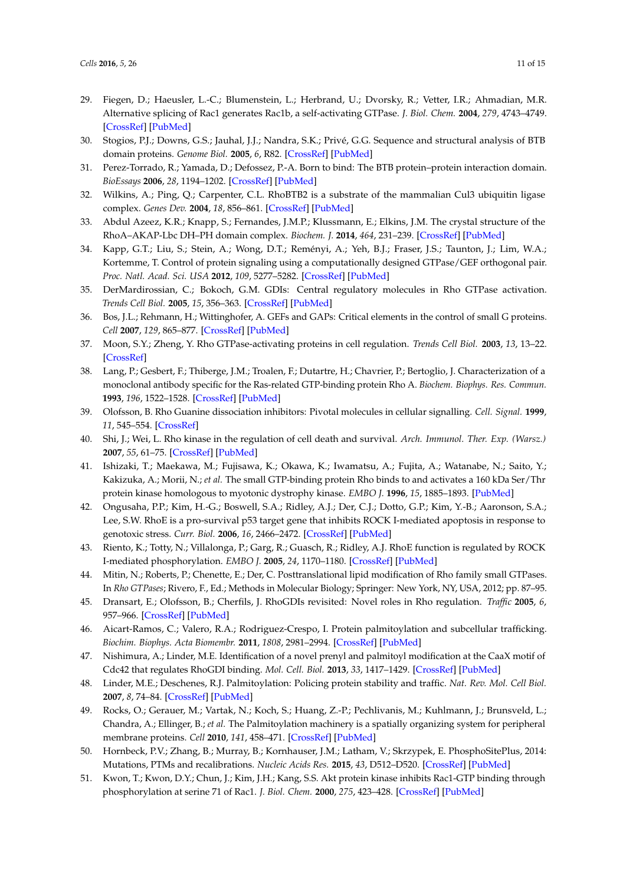- <span id="page-10-0"></span>29. Fiegen, D.; Haeusler, L.-C.; Blumenstein, L.; Herbrand, U.; Dvorsky, R.; Vetter, I.R.; Ahmadian, M.R. Alternative splicing of Rac1 generates Rac1b, a self-activating GTPase. *J. Biol. Chem.* **2004**, *279*, 4743–4749. [\[CrossRef\]](http://dx.doi.org/10.1074/jbc.M310281200) [\[PubMed\]](http://www.ncbi.nlm.nih.gov/pubmed/14625275)
- <span id="page-10-1"></span>30. Stogios, P.J.; Downs, G.S.; Jauhal, J.J.; Nandra, S.K.; Privé, G.G. Sequence and structural analysis of BTB domain proteins. *Genome Biol.* **2005**, *6*, R82. [\[CrossRef\]](http://dx.doi.org/10.1186/gb-2005-6-10-r82) [\[PubMed\]](http://www.ncbi.nlm.nih.gov/pubmed/16207353)
- <span id="page-10-2"></span>31. Perez-Torrado, R.; Yamada, D.; Defossez, P.-A. Born to bind: The BTB protein–protein interaction domain. *BioEssays* **2006**, *28*, 1194–1202. [\[CrossRef\]](http://dx.doi.org/10.1002/bies.20500) [\[PubMed\]](http://www.ncbi.nlm.nih.gov/pubmed/17120193)
- <span id="page-10-3"></span>32. Wilkins, A.; Ping, Q.; Carpenter, C.L. RhoBTB2 is a substrate of the mammalian Cul3 ubiquitin ligase complex. *Genes Dev.* **2004**, *18*, 856–861. [\[CrossRef\]](http://dx.doi.org/10.1101/gad.1177904) [\[PubMed\]](http://www.ncbi.nlm.nih.gov/pubmed/15107402)
- <span id="page-10-4"></span>33. Abdul Azeez, K.R.; Knapp, S.; Fernandes, J.M.P.; Klussmann, E.; Elkins, J.M. The crystal structure of the RhoA–AKAP-Lbc DH–PH domain complex. *Biochem. J.* **2014**, *464*, 231–239. [\[CrossRef\]](http://dx.doi.org/10.1042/BJ20140606) [\[PubMed\]](http://www.ncbi.nlm.nih.gov/pubmed/25186459)
- <span id="page-10-5"></span>34. Kapp, G.T.; Liu, S.; Stein, A.; Wong, D.T.; Reményi, A.; Yeh, B.J.; Fraser, J.S.; Taunton, J.; Lim, W.A.; Kortemme, T. Control of protein signaling using a computationally designed GTPase/GEF orthogonal pair. *Proc. Natl. Acad. Sci. USA* **2012**, *109*, 5277–5282. [\[CrossRef\]](http://dx.doi.org/10.1073/pnas.1114487109) [\[PubMed\]](http://www.ncbi.nlm.nih.gov/pubmed/22403064)
- <span id="page-10-6"></span>35. DerMardirossian, C.; Bokoch, G.M. GDIs: Central regulatory molecules in Rho GTPase activation. *Trends Cell Biol.* **2005**, *15*, 356–363. [\[CrossRef\]](http://dx.doi.org/10.1016/j.tcb.2005.05.001) [\[PubMed\]](http://www.ncbi.nlm.nih.gov/pubmed/15921909)
- <span id="page-10-7"></span>36. Bos, J.L.; Rehmann, H.; Wittinghofer, A. GEFs and GAPs: Critical elements in the control of small G proteins. *Cell* **2007**, *129*, 865–877. [\[CrossRef\]](http://dx.doi.org/10.1016/j.cell.2007.05.018) [\[PubMed\]](http://www.ncbi.nlm.nih.gov/pubmed/17540168)
- <span id="page-10-8"></span>37. Moon, S.Y.; Zheng, Y. Rho GTPase-activating proteins in cell regulation. *Trends Cell Biol.* **2003**, *13*, 13–22. [\[CrossRef\]](http://dx.doi.org/10.1016/S0962-8924(02)00004-1)
- <span id="page-10-9"></span>38. Lang, P.; Gesbert, F.; Thiberge, J.M.; Troalen, F.; Dutartre, H.; Chavrier, P.; Bertoglio, J. Characterization of a monoclonal antibody specific for the Ras-related GTP-binding protein Rho A. *Biochem. Biophys. Res. Commun.* **1993**, *196*, 1522–1528. [\[CrossRef\]](http://dx.doi.org/10.1006/bbrc.1993.2424) [\[PubMed\]](http://www.ncbi.nlm.nih.gov/pubmed/8250908)
- <span id="page-10-10"></span>39. Olofsson, B. Rho Guanine dissociation inhibitors: Pivotal molecules in cellular signalling. *Cell. Signal.* **1999**, *11*, 545–554. [\[CrossRef\]](http://dx.doi.org/10.1016/S0898-6568(98)00063-1)
- <span id="page-10-11"></span>40. Shi, J.; Wei, L. Rho kinase in the regulation of cell death and survival. *Arch. Immunol. Ther. Exp. (Warsz.)* **2007**, *55*, 61–75. [\[CrossRef\]](http://dx.doi.org/10.1007/s00005-007-0009-7) [\[PubMed\]](http://www.ncbi.nlm.nih.gov/pubmed/17347801)
- <span id="page-10-12"></span>41. Ishizaki, T.; Maekawa, M.; Fujisawa, K.; Okawa, K.; Iwamatsu, A.; Fujita, A.; Watanabe, N.; Saito, Y.; Kakizuka, A.; Morii, N.; *et al.* The small GTP-binding protein Rho binds to and activates a 160 kDa Ser/Thr protein kinase homologous to myotonic dystrophy kinase. *EMBO J.* **1996**, *15*, 1885–1893. [\[PubMed\]](http://www.ncbi.nlm.nih.gov/pubmed/8617235)
- <span id="page-10-13"></span>42. Ongusaha, P.P.; Kim, H.-G.; Boswell, S.A.; Ridley, A.J.; Der, C.J.; Dotto, G.P.; Kim, Y.-B.; Aaronson, S.A.; Lee, S.W. RhoE is a pro-survival p53 target gene that inhibits ROCK I-mediated apoptosis in response to genotoxic stress. *Curr. Biol.* **2006**, *16*, 2466–2472. [\[CrossRef\]](http://dx.doi.org/10.1016/j.cub.2006.10.056) [\[PubMed\]](http://www.ncbi.nlm.nih.gov/pubmed/17174923)
- <span id="page-10-14"></span>43. Riento, K.; Totty, N.; Villalonga, P.; Garg, R.; Guasch, R.; Ridley, A.J. RhoE function is regulated by ROCK I-mediated phosphorylation. *EMBO J.* **2005**, *24*, 1170–1180. [\[CrossRef\]](http://dx.doi.org/10.1038/sj.emboj.7600612) [\[PubMed\]](http://www.ncbi.nlm.nih.gov/pubmed/15775972)
- <span id="page-10-15"></span>44. Mitin, N.; Roberts, P.; Chenette, E.; Der, C. Posttranslational lipid modification of Rho family small GTPases. In *Rho GTPases*; Rivero, F., Ed.; Methods in Molecular Biology; Springer: New York, NY, USA, 2012; pp. 87–95.
- <span id="page-10-16"></span>45. Dransart, E.; Olofsson, B.; Cherfils, J. RhoGDIs revisited: Novel roles in Rho regulation. *Traffic* **2005**, *6*, 957–966. [\[CrossRef\]](http://dx.doi.org/10.1111/j.1600-0854.2005.00335.x) [\[PubMed\]](http://www.ncbi.nlm.nih.gov/pubmed/16190977)
- <span id="page-10-17"></span>46. Aicart-Ramos, C.; Valero, R.A.; Rodriguez-Crespo, I. Protein palmitoylation and subcellular trafficking. *Biochim. Biophys. Acta Biomembr.* **2011**, *1808*, 2981–2994. [\[CrossRef\]](http://dx.doi.org/10.1016/j.bbamem.2011.07.009) [\[PubMed\]](http://www.ncbi.nlm.nih.gov/pubmed/21819967)
- <span id="page-10-18"></span>47. Nishimura, A.; Linder, M.E. Identification of a novel prenyl and palmitoyl modification at the CaaX motif of Cdc42 that regulates RhoGDI binding. *Mol. Cell. Biol.* **2013**, *33*, 1417–1429. [\[CrossRef\]](http://dx.doi.org/10.1128/MCB.01398-12) [\[PubMed\]](http://www.ncbi.nlm.nih.gov/pubmed/23358418)
- <span id="page-10-19"></span>48. Linder, M.E.; Deschenes, R.J. Palmitoylation: Policing protein stability and traffic. *Nat. Rev. Mol. Cell Biol.* **2007**, *8*, 74–84. [\[CrossRef\]](http://dx.doi.org/10.1038/nrm2084) [\[PubMed\]](http://www.ncbi.nlm.nih.gov/pubmed/17183362)
- <span id="page-10-20"></span>49. Rocks, O.; Gerauer, M.; Vartak, N.; Koch, S.; Huang, Z.-P.; Pechlivanis, M.; Kuhlmann, J.; Brunsveld, L.; Chandra, A.; Ellinger, B.; *et al.* The Palmitoylation machinery is a spatially organizing system for peripheral membrane proteins. *Cell* **2010**, *141*, 458–471. [\[CrossRef\]](http://dx.doi.org/10.1016/j.cell.2010.04.007) [\[PubMed\]](http://www.ncbi.nlm.nih.gov/pubmed/20416930)
- <span id="page-10-21"></span>50. Hornbeck, P.V.; Zhang, B.; Murray, B.; Kornhauser, J.M.; Latham, V.; Skrzypek, E. PhosphoSitePlus, 2014: Mutations, PTMs and recalibrations. *Nucleic Acids Res.* **2015**, *43*, D512–D520. [\[CrossRef\]](http://dx.doi.org/10.1093/nar/gku1267) [\[PubMed\]](http://www.ncbi.nlm.nih.gov/pubmed/25514926)
- <span id="page-10-22"></span>51. Kwon, T.; Kwon, D.Y.; Chun, J.; Kim, J.H.; Kang, S.S. Akt protein kinase inhibits Rac1-GTP binding through phosphorylation at serine 71 of Rac1. *J. Biol. Chem.* **2000**, *275*, 423–428. [\[CrossRef\]](http://dx.doi.org/10.1074/jbc.275.1.423) [\[PubMed\]](http://www.ncbi.nlm.nih.gov/pubmed/10617634)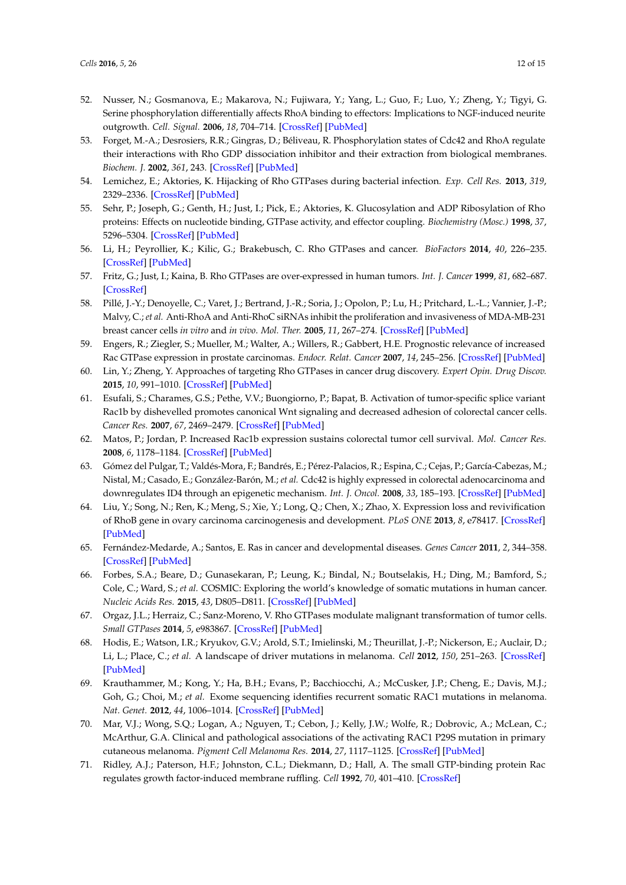- <span id="page-11-0"></span>52. Nusser, N.; Gosmanova, E.; Makarova, N.; Fujiwara, Y.; Yang, L.; Guo, F.; Luo, Y.; Zheng, Y.; Tigyi, G. Serine phosphorylation differentially affects RhoA binding to effectors: Implications to NGF-induced neurite outgrowth. *Cell. Signal.* **2006**, *18*, 704–714. [\[CrossRef\]](http://dx.doi.org/10.1016/j.cellsig.2005.06.010) [\[PubMed\]](http://www.ncbi.nlm.nih.gov/pubmed/16109481)
- <span id="page-11-1"></span>53. Forget, M.-A.; Desrosiers, R.R.; Gingras, D.; Béliveau, R. Phosphorylation states of Cdc42 and RhoA regulate their interactions with Rho GDP dissociation inhibitor and their extraction from biological membranes. *Biochem. J.* **2002**, *361*, 243. [\[CrossRef\]](http://dx.doi.org/10.1042/bj3610243) [\[PubMed\]](http://www.ncbi.nlm.nih.gov/pubmed/11772396)
- <span id="page-11-2"></span>54. Lemichez, E.; Aktories, K. Hijacking of Rho GTPases during bacterial infection. *Exp. Cell Res.* **2013**, *319*, 2329–2336. [\[CrossRef\]](http://dx.doi.org/10.1016/j.yexcr.2013.04.021) [\[PubMed\]](http://www.ncbi.nlm.nih.gov/pubmed/23648569)
- <span id="page-11-3"></span>55. Sehr, P.; Joseph, G.; Genth, H.; Just, I.; Pick, E.; Aktories, K. Glucosylation and ADP Ribosylation of Rho proteins: Effects on nucleotide binding, GTPase activity, and effector coupling. *Biochemistry (Mosc.)* **1998**, *37*, 5296–5304. [\[CrossRef\]](http://dx.doi.org/10.1021/bi972592c) [\[PubMed\]](http://www.ncbi.nlm.nih.gov/pubmed/9548761)
- <span id="page-11-4"></span>56. Li, H.; Peyrollier, K.; Kilic, G.; Brakebusch, C. Rho GTPases and cancer. *BioFactors* **2014**, *40*, 226–235. [\[CrossRef\]](http://dx.doi.org/10.1002/biof.1155) [\[PubMed\]](http://www.ncbi.nlm.nih.gov/pubmed/24375503)
- <span id="page-11-5"></span>57. Fritz, G.; Just, I.; Kaina, B. Rho GTPases are over-expressed in human tumors. *Int. J. Cancer* **1999**, *81*, 682–687. [\[CrossRef\]](http://dx.doi.org/10.1002/(SICI)1097-0215(19990531)81:5<682::AID-IJC2>3.0.CO;2-B)
- <span id="page-11-6"></span>58. Pillé, J.-Y.; Denoyelle, C.; Varet, J.; Bertrand, J.-R.; Soria, J.; Opolon, P.; Lu, H.; Pritchard, L.-L.; Vannier, J.-P.; Malvy, C.; *et al.* Anti-RhoA and Anti-RhoC siRNAs inhibit the proliferation and invasiveness of MDA-MB-231 breast cancer cells *in vitro* and *in vivo*. *Mol. Ther.* **2005**, *11*, 267–274. [\[CrossRef\]](http://dx.doi.org/10.1016/j.ymthe.2004.08.029) [\[PubMed\]](http://www.ncbi.nlm.nih.gov/pubmed/15668138)
- <span id="page-11-7"></span>59. Engers, R.; Ziegler, S.; Mueller, M.; Walter, A.; Willers, R.; Gabbert, H.E. Prognostic relevance of increased Rac GTPase expression in prostate carcinomas. *Endocr. Relat. Cancer* **2007**, *14*, 245–256. [\[CrossRef\]](http://dx.doi.org/10.1677/ERC-06-0036) [\[PubMed\]](http://www.ncbi.nlm.nih.gov/pubmed/17639041)
- <span id="page-11-8"></span>60. Lin, Y.; Zheng, Y. Approaches of targeting Rho GTPases in cancer drug discovery. *Expert Opin. Drug Discov.* **2015**, *10*, 991–1010. [\[CrossRef\]](http://dx.doi.org/10.1517/17460441.2015.1058775) [\[PubMed\]](http://www.ncbi.nlm.nih.gov/pubmed/26087073)
- <span id="page-11-9"></span>61. Esufali, S.; Charames, G.S.; Pethe, V.V.; Buongiorno, P.; Bapat, B. Activation of tumor-specific splice variant Rac1b by dishevelled promotes canonical Wnt signaling and decreased adhesion of colorectal cancer cells. *Cancer Res.* **2007**, *67*, 2469–2479. [\[CrossRef\]](http://dx.doi.org/10.1158/0008-5472.CAN-06-2843) [\[PubMed\]](http://www.ncbi.nlm.nih.gov/pubmed/17363564)
- <span id="page-11-10"></span>62. Matos, P.; Jordan, P. Increased Rac1b expression sustains colorectal tumor cell survival. *Mol. Cancer Res.* **2008**, *6*, 1178–1184. [\[CrossRef\]](http://dx.doi.org/10.1158/1541-7786.MCR-08-0008) [\[PubMed\]](http://www.ncbi.nlm.nih.gov/pubmed/18644982)
- <span id="page-11-11"></span>63. Gómez del Pulgar, T.; Valdés-Mora, F.; Bandrés, E.; Pérez-Palacios, R.; Espina, C.; Cejas, P.; García-Cabezas, M.; Nistal, M.; Casado, E.; González-Barón, M.; *et al.* Cdc42 is highly expressed in colorectal adenocarcinoma and downregulates ID4 through an epigenetic mechanism. *Int. J. Oncol.* **2008**, *33*, 185–193. [\[CrossRef\]](http://dx.doi.org/10.3892/ijo.33.1.185) [\[PubMed\]](http://www.ncbi.nlm.nih.gov/pubmed/18575765)
- <span id="page-11-12"></span>64. Liu, Y.; Song, N.; Ren, K.; Meng, S.; Xie, Y.; Long, Q.; Chen, X.; Zhao, X. Expression loss and revivification of RhoB gene in ovary carcinoma carcinogenesis and development. *PLoS ONE* **2013**, *8*, e78417. [\[CrossRef\]](http://dx.doi.org/10.1371/journal.pone.0078417) [\[PubMed\]](http://www.ncbi.nlm.nih.gov/pubmed/24223801)
- <span id="page-11-13"></span>65. Fernández-Medarde, A.; Santos, E. Ras in cancer and developmental diseases. *Genes Cancer* **2011**, *2*, 344–358. [\[CrossRef\]](http://dx.doi.org/10.1177/1947601911411084) [\[PubMed\]](http://www.ncbi.nlm.nih.gov/pubmed/21779504)
- <span id="page-11-14"></span>66. Forbes, S.A.; Beare, D.; Gunasekaran, P.; Leung, K.; Bindal, N.; Boutselakis, H.; Ding, M.; Bamford, S.; Cole, C.; Ward, S.; *et al.* COSMIC: Exploring the world's knowledge of somatic mutations in human cancer. *Nucleic Acids Res.* **2015**, *43*, D805–D811. [\[CrossRef\]](http://dx.doi.org/10.1093/nar/gku1075) [\[PubMed\]](http://www.ncbi.nlm.nih.gov/pubmed/25355519)
- <span id="page-11-15"></span>67. Orgaz, J.L.; Herraiz, C.; Sanz-Moreno, V. Rho GTPases modulate malignant transformation of tumor cells. *Small GTPases* **2014**, *5*, e983867. [\[CrossRef\]](http://dx.doi.org/10.4161/sgtp.29019) [\[PubMed\]](http://www.ncbi.nlm.nih.gov/pubmed/25036871)
- <span id="page-11-16"></span>68. Hodis, E.; Watson, I.R.; Kryukov, G.V.; Arold, S.T.; Imielinski, M.; Theurillat, J.-P.; Nickerson, E.; Auclair, D.; Li, L.; Place, C.; *et al.* A landscape of driver mutations in melanoma. *Cell* **2012**, *150*, 251–263. [\[CrossRef\]](http://dx.doi.org/10.1016/j.cell.2012.06.024) [\[PubMed\]](http://www.ncbi.nlm.nih.gov/pubmed/22817889)
- 69. Krauthammer, M.; Kong, Y.; Ha, B.H.; Evans, P.; Bacchiocchi, A.; McCusker, J.P.; Cheng, E.; Davis, M.J.; Goh, G.; Choi, M.; *et al.* Exome sequencing identifies recurrent somatic RAC1 mutations in melanoma. *Nat. Genet.* **2012**, *44*, 1006–1014. [\[CrossRef\]](http://dx.doi.org/10.1038/ng.2359) [\[PubMed\]](http://www.ncbi.nlm.nih.gov/pubmed/22842228)
- <span id="page-11-17"></span>70. Mar, V.J.; Wong, S.Q.; Logan, A.; Nguyen, T.; Cebon, J.; Kelly, J.W.; Wolfe, R.; Dobrovic, A.; McLean, C.; McArthur, G.A. Clinical and pathological associations of the activating RAC1 P29S mutation in primary cutaneous melanoma. *Pigment Cell Melanoma Res.* **2014**, *27*, 1117–1125. [\[CrossRef\]](http://dx.doi.org/10.1111/pcmr.12295) [\[PubMed\]](http://www.ncbi.nlm.nih.gov/pubmed/25043693)
- <span id="page-11-18"></span>71. Ridley, A.J.; Paterson, H.F.; Johnston, C.L.; Diekmann, D.; Hall, A. The small GTP-binding protein Rac regulates growth factor-induced membrane ruffling. *Cell* **1992**, *70*, 401–410. [\[CrossRef\]](http://dx.doi.org/10.1016/0092-8674(92)90164-8)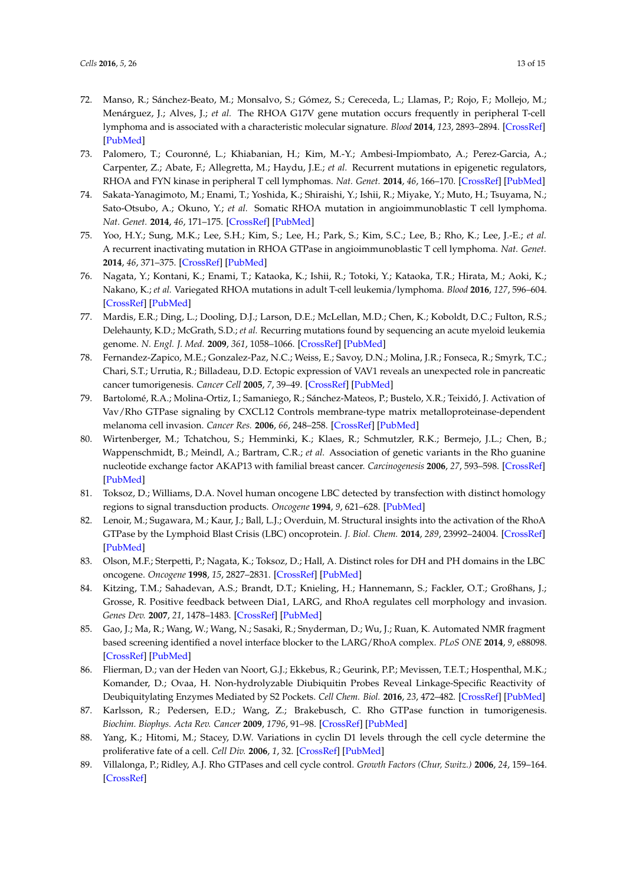- <span id="page-12-0"></span>72. Manso, R.; Sánchez-Beato, M.; Monsalvo, S.; Gómez, S.; Cereceda, L.; Llamas, P.; Rojo, F.; Mollejo, M.; Menárguez, J.; Alves, J.; *et al.* The RHOA G17V gene mutation occurs frequently in peripheral T-cell lymphoma and is associated with a characteristic molecular signature. *Blood* **2014**, *123*, 2893–2894. [\[CrossRef\]](http://dx.doi.org/10.1182/blood-2014-02-555946) [\[PubMed\]](http://www.ncbi.nlm.nih.gov/pubmed/24786457)
- 73. Palomero, T.; Couronné, L.; Khiabanian, H.; Kim, M.-Y.; Ambesi-Impiombato, A.; Perez-Garcia, A.; Carpenter, Z.; Abate, F.; Allegretta, M.; Haydu, J.E.; *et al.* Recurrent mutations in epigenetic regulators, RHOA and FYN kinase in peripheral T cell lymphomas. *Nat. Genet.* **2014**, *46*, 166–170. [\[CrossRef\]](http://dx.doi.org/10.1038/ng.2873) [\[PubMed\]](http://www.ncbi.nlm.nih.gov/pubmed/24413734)
- 74. Sakata-Yanagimoto, M.; Enami, T.; Yoshida, K.; Shiraishi, Y.; Ishii, R.; Miyake, Y.; Muto, H.; Tsuyama, N.; Sato-Otsubo, A.; Okuno, Y.; *et al.* Somatic RHOA mutation in angioimmunoblastic T cell lymphoma. *Nat. Genet.* **2014**, *46*, 171–175. [\[CrossRef\]](http://dx.doi.org/10.1038/ng.2872) [\[PubMed\]](http://www.ncbi.nlm.nih.gov/pubmed/24413737)
- <span id="page-12-1"></span>75. Yoo, H.Y.; Sung, M.K.; Lee, S.H.; Kim, S.; Lee, H.; Park, S.; Kim, S.C.; Lee, B.; Rho, K.; Lee, J.-E.; *et al.* A recurrent inactivating mutation in RHOA GTPase in angioimmunoblastic T cell lymphoma. *Nat. Genet.* **2014**, *46*, 371–375. [\[CrossRef\]](http://dx.doi.org/10.1038/ng.2916) [\[PubMed\]](http://www.ncbi.nlm.nih.gov/pubmed/24584070)
- <span id="page-12-2"></span>76. Nagata, Y.; Kontani, K.; Enami, T.; Kataoka, K.; Ishii, R.; Totoki, Y.; Kataoka, T.R.; Hirata, M.; Aoki, K.; Nakano, K.; *et al.* Variegated RHOA mutations in adult T-cell leukemia/lymphoma. *Blood* **2016**, *127*, 596–604. [\[CrossRef\]](http://dx.doi.org/10.1182/blood-2015-06-644948) [\[PubMed\]](http://www.ncbi.nlm.nih.gov/pubmed/26574607)
- <span id="page-12-3"></span>77. Mardis, E.R.; Ding, L.; Dooling, D.J.; Larson, D.E.; McLellan, M.D.; Chen, K.; Koboldt, D.C.; Fulton, R.S.; Delehaunty, K.D.; McGrath, S.D.; *et al.* Recurring mutations found by sequencing an acute myeloid leukemia genome. *N. Engl. J. Med.* **2009**, *361*, 1058–1066. [\[CrossRef\]](http://dx.doi.org/10.1056/NEJMoa0903840) [\[PubMed\]](http://www.ncbi.nlm.nih.gov/pubmed/19657110)
- <span id="page-12-4"></span>78. Fernandez-Zapico, M.E.; Gonzalez-Paz, N.C.; Weiss, E.; Savoy, D.N.; Molina, J.R.; Fonseca, R.; Smyrk, T.C.; Chari, S.T.; Urrutia, R.; Billadeau, D.D. Ectopic expression of VAV1 reveals an unexpected role in pancreatic cancer tumorigenesis. *Cancer Cell* **2005**, *7*, 39–49. [\[CrossRef\]](http://dx.doi.org/10.1016/j.ccr.2004.11.024) [\[PubMed\]](http://www.ncbi.nlm.nih.gov/pubmed/15652748)
- <span id="page-12-5"></span>79. Bartolomé, R.A.; Molina-Ortiz, I.; Samaniego, R.; Sánchez-Mateos, P.; Bustelo, X.R.; Teixidó, J. Activation of Vav/Rho GTPase signaling by CXCL12 Controls membrane-type matrix metalloproteinase-dependent melanoma cell invasion. *Cancer Res.* **2006**, *66*, 248–258. [\[CrossRef\]](http://dx.doi.org/10.1158/0008-5472.CAN-05-2489) [\[PubMed\]](http://www.ncbi.nlm.nih.gov/pubmed/16397238)
- <span id="page-12-6"></span>80. Wirtenberger, M.; Tchatchou, S.; Hemminki, K.; Klaes, R.; Schmutzler, R.K.; Bermejo, J.L.; Chen, B.; Wappenschmidt, B.; Meindl, A.; Bartram, C.R.; *et al.* Association of genetic variants in the Rho guanine nucleotide exchange factor AKAP13 with familial breast cancer. *Carcinogenesis* **2006**, *27*, 593–598. [\[CrossRef\]](http://dx.doi.org/10.1093/carcin/bgi245) [\[PubMed\]](http://www.ncbi.nlm.nih.gov/pubmed/16234258)
- <span id="page-12-7"></span>81. Toksoz, D.; Williams, D.A. Novel human oncogene LBC detected by transfection with distinct homology regions to signal transduction products. *Oncogene* **1994**, *9*, 621–628. [\[PubMed\]](http://www.ncbi.nlm.nih.gov/pubmed/8290273)
- <span id="page-12-8"></span>82. Lenoir, M.; Sugawara, M.; Kaur, J.; Ball, L.J.; Overduin, M. Structural insights into the activation of the RhoA GTPase by the Lymphoid Blast Crisis (LBC) oncoprotein. *J. Biol. Chem.* **2014**, *289*, 23992–24004. [\[CrossRef\]](http://dx.doi.org/10.1074/jbc.M114.561787) [\[PubMed\]](http://www.ncbi.nlm.nih.gov/pubmed/24993829)
- <span id="page-12-9"></span>83. Olson, M.F.; Sterpetti, P.; Nagata, K.; Toksoz, D.; Hall, A. Distinct roles for DH and PH domains in the LBC oncogene. *Oncogene* **1998**, *15*, 2827–2831. [\[CrossRef\]](http://dx.doi.org/10.1038/sj.onc.1201594) [\[PubMed\]](http://www.ncbi.nlm.nih.gov/pubmed/9419973)
- <span id="page-12-10"></span>84. Kitzing, T.M.; Sahadevan, A.S.; Brandt, D.T.; Knieling, H.; Hannemann, S.; Fackler, O.T.; Großhans, J.; Grosse, R. Positive feedback between Dia1, LARG, and RhoA regulates cell morphology and invasion. *Genes Dev.* **2007**, *21*, 1478–1483. [\[CrossRef\]](http://dx.doi.org/10.1101/gad.424807) [\[PubMed\]](http://www.ncbi.nlm.nih.gov/pubmed/17575049)
- <span id="page-12-11"></span>85. Gao, J.; Ma, R.; Wang, W.; Wang, N.; Sasaki, R.; Snyderman, D.; Wu, J.; Ruan, K. Automated NMR fragment based screening identified a novel interface blocker to the LARG/RhoA complex. *PLoS ONE* **2014**, *9*, e88098. [\[CrossRef\]](http://dx.doi.org/10.1371/journal.pone.0088098) [\[PubMed\]](http://www.ncbi.nlm.nih.gov/pubmed/24505392)
- <span id="page-12-12"></span>86. Flierman, D.; van der Heden van Noort, G.J.; Ekkebus, R.; Geurink, P.P.; Mevissen, T.E.T.; Hospenthal, M.K.; Komander, D.; Ovaa, H. Non-hydrolyzable Diubiquitin Probes Reveal Linkage-Specific Reactivity of Deubiquitylating Enzymes Mediated by S2 Pockets. *Cell Chem. Biol.* **2016**, *23*, 472–482. [\[CrossRef\]](http://dx.doi.org/10.1016/j.chembiol.2016.03.009) [\[PubMed\]](http://www.ncbi.nlm.nih.gov/pubmed/27066941)
- <span id="page-12-13"></span>87. Karlsson, R.; Pedersen, E.D.; Wang, Z.; Brakebusch, C. Rho GTPase function in tumorigenesis. *Biochim. Biophys. Acta Rev. Cancer* **2009**, *1796*, 91–98. [\[CrossRef\]](http://dx.doi.org/10.1016/j.bbcan.2009.03.003) [\[PubMed\]](http://www.ncbi.nlm.nih.gov/pubmed/19327386)
- <span id="page-12-14"></span>88. Yang, K.; Hitomi, M.; Stacey, D.W. Variations in cyclin D1 levels through the cell cycle determine the proliferative fate of a cell. *Cell Div.* **2006**, *1*, 32. [\[CrossRef\]](http://dx.doi.org/10.1186/1747-1028-1-32) [\[PubMed\]](http://www.ncbi.nlm.nih.gov/pubmed/17176475)
- <span id="page-12-15"></span>89. Villalonga, P.; Ridley, A.J. Rho GTPases and cell cycle control. *Growth Factors (Chur, Switz.)* **2006**, *24*, 159–164. [\[CrossRef\]](http://dx.doi.org/10.1080/08977190600560651)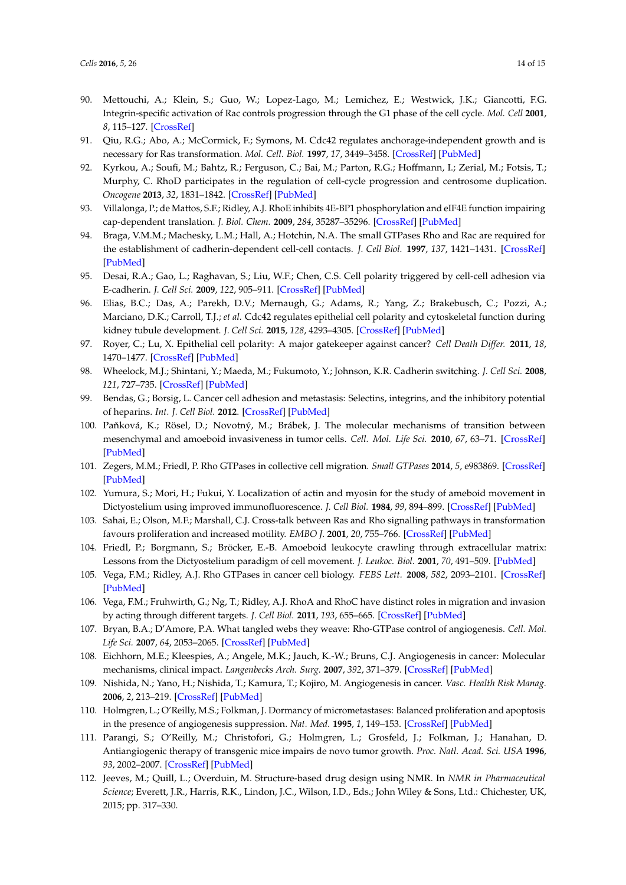- <span id="page-13-0"></span>90. Mettouchi, A.; Klein, S.; Guo, W.; Lopez-Lago, M.; Lemichez, E.; Westwick, J.K.; Giancotti, F.G. Integrin-specific activation of Rac controls progression through the G1 phase of the cell cycle. *Mol. Cell* **2001**, *8*, 115–127. [\[CrossRef\]](http://dx.doi.org/10.1016/S1097-2765(01)00285-4)
- <span id="page-13-1"></span>91. Qiu, R.G.; Abo, A.; McCormick, F.; Symons, M. Cdc42 regulates anchorage-independent growth and is necessary for Ras transformation. *Mol. Cell. Biol.* **1997**, *17*, 3449–3458. [\[CrossRef\]](http://dx.doi.org/10.1128/MCB.17.6.3449) [\[PubMed\]](http://www.ncbi.nlm.nih.gov/pubmed/9154844)
- <span id="page-13-2"></span>92. Kyrkou, A.; Soufi, M.; Bahtz, R.; Ferguson, C.; Bai, M.; Parton, R.G.; Hoffmann, I.; Zerial, M.; Fotsis, T.; Murphy, C. RhoD participates in the regulation of cell-cycle progression and centrosome duplication. *Oncogene* **2013**, *32*, 1831–1842. [\[CrossRef\]](http://dx.doi.org/10.1038/onc.2012.195) [\[PubMed\]](http://www.ncbi.nlm.nih.gov/pubmed/22665057)
- <span id="page-13-3"></span>93. Villalonga, P.; de Mattos, S.F.; Ridley, A.J. RhoE inhibits 4E-BP1 phosphorylation and eIF4E function impairing cap-dependent translation. *J. Biol. Chem.* **2009**, *284*, 35287–35296. [\[CrossRef\]](http://dx.doi.org/10.1074/jbc.M109.050120) [\[PubMed\]](http://www.ncbi.nlm.nih.gov/pubmed/19850923)
- <span id="page-13-4"></span>94. Braga, V.M.M.; Machesky, L.M.; Hall, A.; Hotchin, N.A. The small GTPases Rho and Rac are required for the establishment of cadherin-dependent cell-cell contacts. *J. Cell Biol.* **1997**, *137*, 1421–1431. [\[CrossRef\]](http://dx.doi.org/10.1083/jcb.137.6.1421) [\[PubMed\]](http://www.ncbi.nlm.nih.gov/pubmed/9182672)
- <span id="page-13-5"></span>95. Desai, R.A.; Gao, L.; Raghavan, S.; Liu, W.F.; Chen, C.S. Cell polarity triggered by cell-cell adhesion via E-cadherin. *J. Cell Sci.* **2009**, *122*, 905–911. [\[CrossRef\]](http://dx.doi.org/10.1242/jcs.028183) [\[PubMed\]](http://www.ncbi.nlm.nih.gov/pubmed/19258396)
- <span id="page-13-6"></span>96. Elias, B.C.; Das, A.; Parekh, D.V.; Mernaugh, G.; Adams, R.; Yang, Z.; Brakebusch, C.; Pozzi, A.; Marciano, D.K.; Carroll, T.J.; *et al.* Cdc42 regulates epithelial cell polarity and cytoskeletal function during kidney tubule development. *J. Cell Sci.* **2015**, *128*, 4293–4305. [\[CrossRef\]](http://dx.doi.org/10.1242/jcs.164509) [\[PubMed\]](http://www.ncbi.nlm.nih.gov/pubmed/26490995)
- <span id="page-13-7"></span>97. Royer, C.; Lu, X. Epithelial cell polarity: A major gatekeeper against cancer? *Cell Death Differ.* **2011**, *18*, 1470–1477. [\[CrossRef\]](http://dx.doi.org/10.1038/cdd.2011.60) [\[PubMed\]](http://www.ncbi.nlm.nih.gov/pubmed/21617693)
- <span id="page-13-8"></span>98. Wheelock, M.J.; Shintani, Y.; Maeda, M.; Fukumoto, Y.; Johnson, K.R. Cadherin switching. *J. Cell Sci.* **2008**, *121*, 727–735. [\[CrossRef\]](http://dx.doi.org/10.1242/jcs.000455) [\[PubMed\]](http://www.ncbi.nlm.nih.gov/pubmed/18322269)
- <span id="page-13-9"></span>99. Bendas, G.; Borsig, L. Cancer cell adhesion and metastasis: Selectins, integrins, and the inhibitory potential of heparins. *Int. J. Cell Biol.* **2012**. [\[CrossRef\]](http://dx.doi.org/10.1155/2012/676731) [\[PubMed\]](http://www.ncbi.nlm.nih.gov/pubmed/22505933)
- <span id="page-13-10"></span>100. Paňková, K.; Rösel, D.; Novotný, M.; Brábek, J. The molecular mechanisms of transition between mesenchymal and amoeboid invasiveness in tumor cells. *Cell. Mol. Life Sci.* **2010**, *67*, 63–71. [\[CrossRef\]](http://dx.doi.org/10.1007/s00018-009-0132-1) [\[PubMed\]](http://www.ncbi.nlm.nih.gov/pubmed/19707854)
- <span id="page-13-11"></span>101. Zegers, M.M.; Friedl, P. Rho GTPases in collective cell migration. *Small GTPases* **2014**, *5*, e983869. [\[CrossRef\]](http://dx.doi.org/10.4161/sgtp.28997) [\[PubMed\]](http://www.ncbi.nlm.nih.gov/pubmed/25054920)
- <span id="page-13-12"></span>102. Yumura, S.; Mori, H.; Fukui, Y. Localization of actin and myosin for the study of ameboid movement in Dictyostelium using improved immunofluorescence. *J. Cell Biol.* **1984**, *99*, 894–899. [\[CrossRef\]](http://dx.doi.org/10.1083/jcb.99.3.894) [\[PubMed\]](http://www.ncbi.nlm.nih.gov/pubmed/6381508)
- <span id="page-13-13"></span>103. Sahai, E.; Olson, M.F.; Marshall, C.J. Cross-talk between Ras and Rho signalling pathways in transformation favours proliferation and increased motility. *EMBO J.* **2001**, *20*, 755–766. [\[CrossRef\]](http://dx.doi.org/10.1093/emboj/20.4.755) [\[PubMed\]](http://www.ncbi.nlm.nih.gov/pubmed/11179220)
- <span id="page-13-14"></span>104. Friedl, P.; Borgmann, S.; Bröcker, E.-B. Amoeboid leukocyte crawling through extracellular matrix: Lessons from the Dictyostelium paradigm of cell movement. *J. Leukoc. Biol.* **2001**, *70*, 491–509. [\[PubMed\]](http://www.ncbi.nlm.nih.gov/pubmed/11590185)
- <span id="page-13-15"></span>105. Vega, F.M.; Ridley, A.J. Rho GTPases in cancer cell biology. *FEBS Lett.* **2008**, *582*, 2093–2101. [\[CrossRef\]](http://dx.doi.org/10.1016/j.febslet.2008.04.039) [\[PubMed\]](http://www.ncbi.nlm.nih.gov/pubmed/18460342)
- <span id="page-13-16"></span>106. Vega, F.M.; Fruhwirth, G.; Ng, T.; Ridley, A.J. RhoA and RhoC have distinct roles in migration and invasion by acting through different targets. *J. Cell Biol.* **2011**, *193*, 655–665. [\[CrossRef\]](http://dx.doi.org/10.1083/jcb.201011038) [\[PubMed\]](http://www.ncbi.nlm.nih.gov/pubmed/21576392)
- <span id="page-13-17"></span>107. Bryan, B.A.; D'Amore, P.A. What tangled webs they weave: Rho-GTPase control of angiogenesis. *Cell. Mol. Life Sci.* **2007**, *64*, 2053–2065. [\[CrossRef\]](http://dx.doi.org/10.1007/s00018-007-7008-z) [\[PubMed\]](http://www.ncbi.nlm.nih.gov/pubmed/17530172)
- <span id="page-13-18"></span>108. Eichhorn, M.E.; Kleespies, A.; Angele, M.K.; Jauch, K.-W.; Bruns, C.J. Angiogenesis in cancer: Molecular mechanisms, clinical impact. *Langenbecks Arch. Surg.* **2007**, *392*, 371–379. [\[CrossRef\]](http://dx.doi.org/10.1007/s00423-007-0150-0) [\[PubMed\]](http://www.ncbi.nlm.nih.gov/pubmed/17458577)
- <span id="page-13-19"></span>109. Nishida, N.; Yano, H.; Nishida, T.; Kamura, T.; Kojiro, M. Angiogenesis in cancer. *Vasc. Health Risk Manag.* **2006**, *2*, 213–219. [\[CrossRef\]](http://dx.doi.org/10.2147/vhrm.2006.2.3.213) [\[PubMed\]](http://www.ncbi.nlm.nih.gov/pubmed/17326328)
- <span id="page-13-20"></span>110. Holmgren, L.; O'Reilly, M.S.; Folkman, J. Dormancy of micrometastases: Balanced proliferation and apoptosis in the presence of angiogenesis suppression. *Nat. Med.* **1995**, *1*, 149–153. [\[CrossRef\]](http://dx.doi.org/10.1038/nm0295-149) [\[PubMed\]](http://www.ncbi.nlm.nih.gov/pubmed/7585012)
- <span id="page-13-21"></span>111. Parangi, S.; O'Reilly, M.; Christofori, G.; Holmgren, L.; Grosfeld, J.; Folkman, J.; Hanahan, D. Antiangiogenic therapy of transgenic mice impairs de novo tumor growth. *Proc. Natl. Acad. Sci. USA* **1996**, *93*, 2002–2007. [\[CrossRef\]](http://dx.doi.org/10.1073/pnas.93.5.2002) [\[PubMed\]](http://www.ncbi.nlm.nih.gov/pubmed/8700875)
- <span id="page-13-22"></span>112. Jeeves, M.; Quill, L.; Overduin, M. Structure-based drug design using NMR. In *NMR in Pharmaceutical Science*; Everett, J.R., Harris, R.K., Lindon, J.C., Wilson, I.D., Eds.; John Wiley & Sons, Ltd.: Chichester, UK, 2015; pp. 317–330.